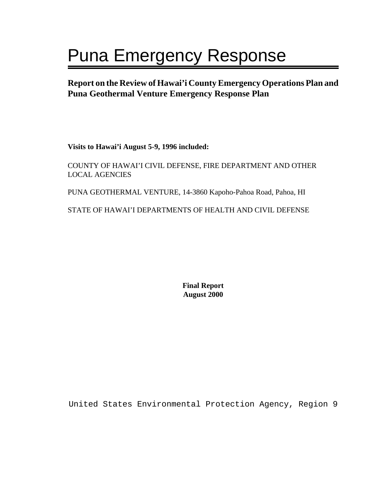# Puna Emergency Response

**Report on the Review of Hawai'i County Emergency Operations Plan and Puna Geothermal Venture Emergency Response Plan** 

**Visits to Hawai'i August 5-9, 1996 included:** 

COUNTY OF HAWAI'I CIVIL DEFENSE, FIRE DEPARTMENT AND OTHER LOCAL AGENCIES

PUNA GEOTHERMAL VENTURE, 14-3860 Kapoho-Pahoa Road, Pahoa, HI

STATE OF HAWAI'I DEPARTMENTS OF HEALTH AND CIVIL DEFENSE

**Final Report August 2000**

United States Environmental Protection Agency, Region 9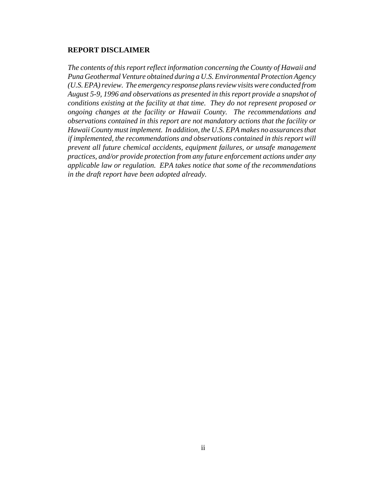#### **REPORT DISCLAIMER**

*The contents of this report reflect information concerning the County of Hawaii and Puna Geothermal Venture obtained during a U.S. Environmental Protection Agency (U.S.EPA) review. The emergency response plans review visits were conducted from August 5-9, 1996 and observations as presented in this report provide a snapshot of conditions existing at the facility at that time. They do not represent proposed or ongoing changes at the facility or Hawaii County. The recommendations and observations contained in this report are not mandatory actions that the facility or Hawaii County must implement. In addition, the U.S. EPA makes no assurances that if implemented, the recommendations and observations contained in this report will prevent all future chemical accidents, equipment failures, or unsafe management practices, and/or provide protection from any future enforcement actions under any applicable law or regulation. EPA takes notice that some of the recommendations in the draft report have been adopted already.*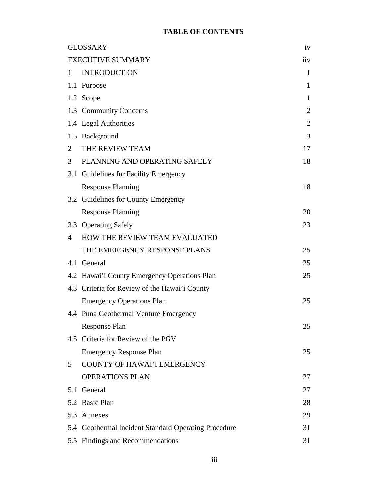# **TABLE OF CONTENTS**

|                | <b>GLOSSARY</b>                                      | iv  |
|----------------|------------------------------------------------------|-----|
|                | <b>EXECUTIVE SUMMARY</b>                             | iiv |
| 1              | <b>INTRODUCTION</b>                                  | 1   |
|                | 1.1 Purpose                                          | 1   |
|                | 1.2 Scope                                            | 1   |
|                | 1.3 Community Concerns                               | 2   |
|                | 1.4 Legal Authorities                                | 2   |
|                | 1.5 Background                                       | 3   |
| $\overline{2}$ | THE REVIEW TEAM                                      | 17  |
| 3              | PLANNING AND OPERATING SAFELY                        | 18  |
|                | 3.1 Guidelines for Facility Emergency                |     |
|                | <b>Response Planning</b>                             | 18  |
|                | 3.2 Guidelines for County Emergency                  |     |
|                | <b>Response Planning</b>                             | 20  |
|                | 3.3 Operating Safely                                 | 23  |
| 4              | HOW THE REVIEW TEAM EVALUATED                        |     |
|                | THE EMERGENCY RESPONSE PLANS                         | 25  |
| 4.1            | General                                              | 25  |
|                | 4.2 Hawai'i County Emergency Operations Plan         | 25  |
|                | 4.3 Criteria for Review of the Hawai'i County        |     |
|                | <b>Emergency Operations Plan</b>                     | 25  |
|                | 4.4 Puna Geothermal Venture Emergency                |     |
|                | <b>Response Plan</b>                                 | 25  |
|                | 4.5 Criteria for Review of the PGV                   |     |
|                | <b>Emergency Response Plan</b>                       | 25  |
| 5              | COUNTY OF HAWAI'I EMERGENCY                          |     |
|                | <b>OPERATIONS PLAN</b>                               | 27  |
| 5.1            | General                                              | 27  |
|                | 5.2 Basic Plan                                       | 28  |
|                | 5.3 Annexes                                          | 29  |
|                | 5.4 Geothermal Incident Standard Operating Procedure | 31  |
|                | 5.5 Findings and Recommendations                     | 31  |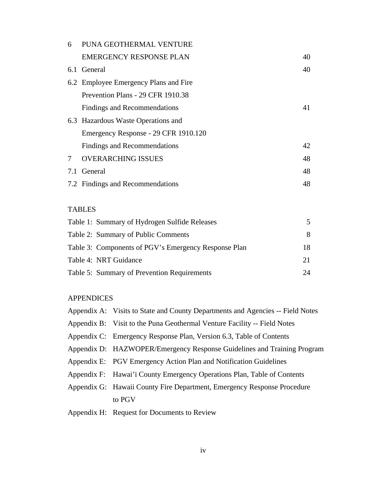| 6   | PUNA GEOTHERMAL VENTURE               |    |
|-----|---------------------------------------|----|
|     | <b>EMERGENCY RESPONSE PLAN</b>        | 40 |
| 6.1 | General                               | 40 |
|     | 6.2 Employee Emergency Plans and Fire |    |
|     | Prevention Plans - 29 CFR 1910.38     |    |
|     | Findings and Recommendations          | 41 |
|     | 6.3 Hazardous Waste Operations and    |    |
|     | Emergency Response - 29 CFR 1910.120  |    |
|     | Findings and Recommendations          | 42 |
| 7   | <b>OVERARCHING ISSUES</b>             | 48 |
| 7.1 | General                               | 48 |
|     | 7.2 Findings and Recommendations      | 48 |

# TABLES

| 18 |
|----|
| 21 |
| 24 |
|    |

# APPENDICES

| Appendix A: Visits to State and County Departments and Agencies -- Field Notes |
|--------------------------------------------------------------------------------|
| Appendix B: Visit to the Puna Geothermal Venture Facility -- Field Notes       |
| Appendix C: Emergency Response Plan, Version 6.3, Table of Contents            |
| Appendix D: HAZWOPER/Emergency Response Guidelines and Training Program        |
| Appendix E: PGV Emergency Action Plan and Notification Guidelines              |
| Appendix F: Hawai'i County Emergency Operations Plan, Table of Contents        |
| Appendix G: Hawaii County Fire Department, Emergency Response Procedure        |
| to PGV                                                                         |
| Appendix H: Request for Documents to Review                                    |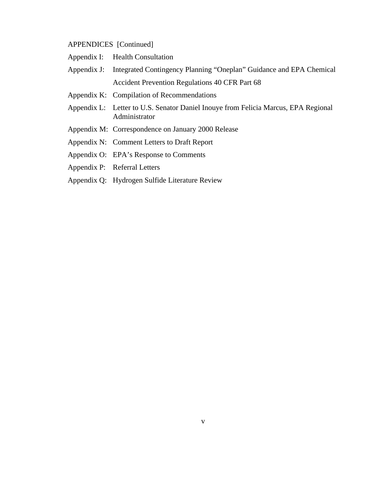# APPENDICES [Continued]

| Appendix I: | <b>Health Consultation</b> |  |
|-------------|----------------------------|--|
|-------------|----------------------------|--|

- Appendix J: Integrated Contingency Planning "Oneplan" Guidance and EPA Chemical Accident Prevention Regulations 40 CFR Part 68
- Appendix K: Compilation of Recommendations
- Appendix L: Letter to U.S. Senator Daniel Inouye from Felicia Marcus, EPA Regional Administrator
- Appendix M: Correspondence on January 2000 Release
- Appendix N: Comment Letters to Draft Report
- Appendix O: EPA's Response to Comments
- Appendix P: Referral Letters
- Appendix Q: Hydrogen Sulfide Literature Review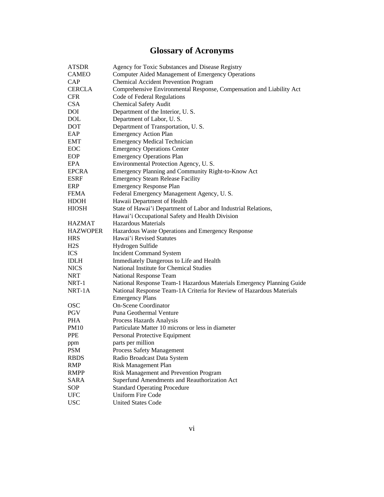# **Glossary of Acronyms**

| <b>ATSDR</b>    | Agency for Toxic Substances and Disease Registry                      |
|-----------------|-----------------------------------------------------------------------|
| <b>CAMEO</b>    | Computer Aided Management of Emergency Operations                     |
| CAP             | <b>Chemical Accident Prevention Program</b>                           |
| <b>CERCLA</b>   | Comprehensive Environmental Response, Compensation and Liability Act  |
| <b>CFR</b>      | Code of Federal Regulations                                           |
| <b>CSA</b>      | <b>Chemical Safety Audit</b>                                          |
| DOI             | Department of the Interior, U.S.                                      |
| <b>DOL</b>      | Department of Labor, U.S.                                             |
| DOT             | Department of Transportation, U.S.                                    |
| EAP             | <b>Emergency Action Plan</b>                                          |
| EMT             | <b>Emergency Medical Technician</b>                                   |
| EOC             | <b>Emergency Operations Center</b>                                    |
| EOP             | <b>Emergency Operations Plan</b>                                      |
| EPA             | Environmental Protection Agency, U.S.                                 |
| <b>EPCRA</b>    | Emergency Planning and Community Right-to-Know Act                    |
| <b>ESRF</b>     | <b>Emergency Steam Release Facility</b>                               |
| ERP             | <b>Emergency Response Plan</b>                                        |
| <b>FEMA</b>     | Federal Emergency Management Agency, U.S.                             |
| <b>HDOH</b>     | Hawaii Department of Health                                           |
| <b>HIOSH</b>    | State of Hawai'i Department of Labor and Industrial Relations,        |
|                 | Hawai'i Occupational Safety and Health Division                       |
| <b>HAZMAT</b>   | <b>Hazardous Materials</b>                                            |
| <b>HAZWOPER</b> | Hazardous Waste Operations and Emergency Response                     |
| <b>HRS</b>      | Hawai'i Revised Statutes                                              |
| H2S             | Hydrogen Sulfide                                                      |
| <b>ICS</b>      | <b>Incident Command System</b>                                        |
| <b>IDLH</b>     | Immediately Dangerous to Life and Health                              |
| <b>NICS</b>     | National Institute for Chemical Studies                               |
| NRT             | National Response Team                                                |
| NRT-1           | National Response Team-1 Hazardous Materials Emergency Planning Guide |
| NRT-1A          | National Response Team-1A Criteria for Review of Hazardous Materials  |
|                 | <b>Emergency Plans</b>                                                |
| <b>OSC</b>      | <b>On-Scene Coordinator</b>                                           |
| <b>PGV</b>      | Puna Geothermal Venture                                               |
| <b>PHA</b>      | Process Hazards Analysis                                              |
| PM10            | Particulate Matter 10 microns or less in diameter                     |
| <b>PPE</b>      | Personal Protective Equipment                                         |
| ppm             | parts per million                                                     |
| <b>PSM</b>      | Process Safety Management                                             |
| <b>RBDS</b>     | Radio Broadcast Data System                                           |
| <b>RMP</b>      | <b>Risk Management Plan</b>                                           |
| RMPP            | Risk Management and Prevention Program                                |
| SARA            | Superfund Amendments and Reauthorization Act                          |
| SOP             | <b>Standard Operating Procedure</b>                                   |
| <b>UFC</b>      | <b>Uniform Fire Code</b>                                              |
| <b>USC</b>      | <b>United States Code</b>                                             |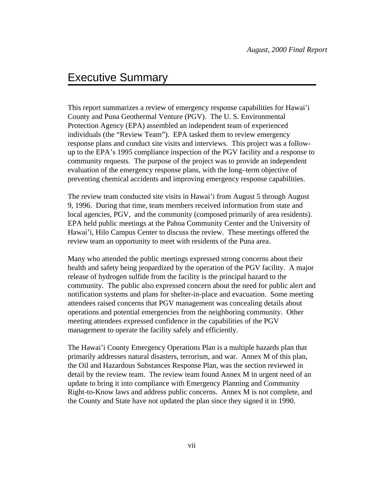# Executive Summary

This report summarizes a review of emergency response capabilities for Hawai'i County and Puna Geothermal Venture (PGV). The U. S. Environmental Protection Agency (EPA) assembled an independent team of experienced individuals (the "Review Team"). EPA tasked them to review emergency response plans and conduct site visits and interviews. This project was a followup to the EPA's 1995 compliance inspection of the PGV facility and a response to community requests. The purpose of the project was to provide an independent evaluation of the emergency response plans, with the long–term objective of preventing chemical accidents and improving emergency response capabilities.

The review team conducted site visits in Hawai'i from August 5 through August 9, 1996. During that time, team members received information from state and local agencies, PGV, and the community (composed primarily of area residents). EPA held public meetings at the Pahoa Community Center and the University of Hawai'i, Hilo Campus Center to discuss the review. These meetings offered the review team an opportunity to meet with residents of the Puna area.

Many who attended the public meetings expressed strong concerns about their health and safety being jeopardized by the operation of the PGV facility. A major release of hydrogen sulfide from the facility is the principal hazard to the community. The public also expressed concern about the need for public alert and notification systems and plans for shelter-in-place and evacuation. Some meeting attendees raised concerns that PGV management was concealing details about operations and potential emergencies from the neighboring community. Other meeting attendees expressed confidence in the capabilities of the PGV management to operate the facility safely and efficiently.

The Hawai'i County Emergency Operations Plan is a multiple hazards plan that primarily addresses natural disasters, terrorism, and war. Annex M of this plan, the Oil and Hazardous Substances Response Plan, was the section reviewed in detail by the review team. The review team found Annex M in urgent need of an update to bring it into compliance with Emergency Planning and Community Right-to-Know laws and address public concerns. Annex M is not complete, and the County and State have not updated the plan since they signed it in 1990.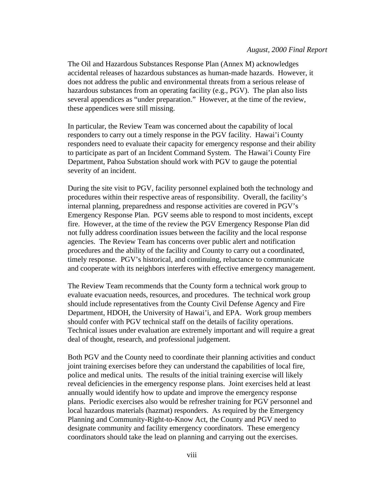#### *August, 2000 Final Report*

The Oil and Hazardous Substances Response Plan (Annex M) acknowledges accidental releases of hazardous substances as human-made hazards. However, it does not address the public and environmental threats from a serious release of hazardous substances from an operating facility (e.g., PGV). The plan also lists several appendices as "under preparation." However, at the time of the review, these appendices were still missing.

In particular, the Review Team was concerned about the capability of local responders to carry out a timely response in the PGV facility. Hawai'i County responders need to evaluate their capacity for emergency response and their ability to participate as part of an Incident Command System. The Hawai'i County Fire Department, Pahoa Substation should work with PGV to gauge the potential severity of an incident.

During the site visit to PGV, facility personnel explained both the technology and procedures within their respective areas of responsibility. Overall, the facility's internal planning, preparedness and response activities are covered in PGV's Emergency Response Plan. PGV seems able to respond to most incidents, except fire. However, at the time of the review the PGV Emergency Response Plan did not fully address coordination issues between the facility and the local response agencies. The Review Team has concerns over public alert and notification procedures and the ability of the facility and County to carry out a coordinated, timely response. PGV's historical, and continuing, reluctance to communicate and cooperate with its neighbors interferes with effective emergency management.

The Review Team recommends that the County form a technical work group to evaluate evacuation needs, resources, and procedures. The technical work group should include representatives from the County Civil Defense Agency and Fire Department, HDOH, the University of Hawai'i, and EPA. Work group members should confer with PGV technical staff on the details of facility operations. Technical issues under evaluation are extremely important and will require a great deal of thought, research, and professional judgement.

Both PGV and the County need to coordinate their planning activities and conduct joint training exercises before they can understand the capabilities of local fire, police and medical units. The results of the initial training exercise will likely reveal deficiencies in the emergency response plans. Joint exercises held at least annually would identify how to update and improve the emergency response plans. Periodic exercises also would be refresher training for PGV personnel and local hazardous materials (hazmat) responders. As required by the Emergency Planning and Community-Right-to-Know Act, the County and PGV need to designate community and facility emergency coordinators. These emergency coordinators should take the lead on planning and carrying out the exercises.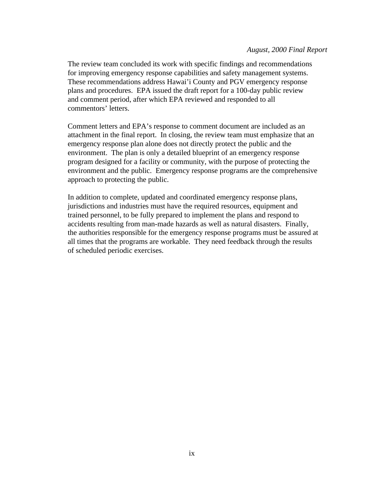#### *August, 2000 Final Report*

The review team concluded its work with specific findings and recommendations for improving emergency response capabilities and safety management systems. These recommendations address Hawai'i County and PGV emergency response plans and procedures. EPA issued the draft report for a 100-day public review and comment period, after which EPA reviewed and responded to all commentors' letters.

Comment letters and EPA's response to comment document are included as an attachment in the final report. In closing, the review team must emphasize that an emergency response plan alone does not directly protect the public and the environment. The plan is only a detailed blueprint of an emergency response program designed for a facility or community, with the purpose of protecting the environment and the public. Emergency response programs are the comprehensive approach to protecting the public.

In addition to complete, updated and coordinated emergency response plans, jurisdictions and industries must have the required resources, equipment and trained personnel, to be fully prepared to implement the plans and respond to accidents resulting from man-made hazards as well as natural disasters. Finally, the authorities responsible for the emergency response programs must be assured at all times that the programs are workable. They need feedback through the results of scheduled periodic exercises.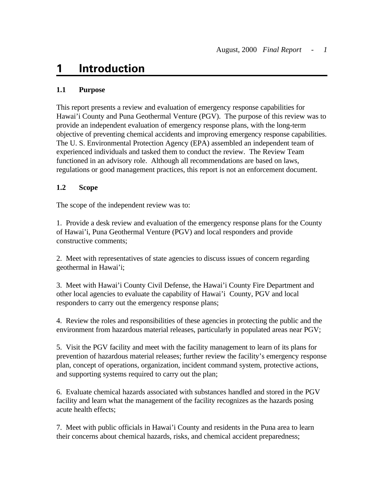# <span id="page-9-0"></span>**1 Introduction**

# **1.1 Purpose**

This report presents a review and evaluation of emergency response capabilities for Hawai'i County and Puna Geothermal Venture (PGV). The purpose of this review was to provide an independent evaluation of emergency response plans, with the long-term objective of preventing chemical accidents and improving emergency response capabilities. The U. S. Environmental Protection Agency (EPA) assembled an independent team of experienced individuals and tasked them to conduct the review. The Review Team functioned in an advisory role. Although all recommendations are based on laws, regulations or good management practices, this report is not an enforcement document.

# **1.2 Scope**

The scope of the independent review was to:

1. Provide a desk review and evaluation of the emergency response plans for the County of Hawai'i, Puna Geothermal Venture (PGV) and local responders and provide constructive comments;

2. Meet with representatives of state agencies to discuss issues of concern regarding geothermal in Hawai'i;

3. Meet with Hawai'i County Civil Defense, the Hawai'i County Fire Department and other local agencies to evaluate the capability of Hawai'i County, PGV and local responders to carry out the emergency response plans;

4. Review the roles and responsibilities of these agencies in protecting the public and the environment from hazardous material releases, particularly in populated areas near PGV;

5. Visit the PGV facility and meet with the facility management to learn of its plans for prevention of hazardous material releases; further review the facility's emergency response plan, concept of operations, organization, incident command system, protective actions, and supporting systems required to carry out the plan;

6. Evaluate chemical hazards associated with substances handled and stored in the PGV facility and learn what the management of the facility recognizes as the hazards posing acute health effects;

7. Meet with public officials in Hawai'i County and residents in the Puna area to learn their concerns about chemical hazards, risks, and chemical accident preparedness;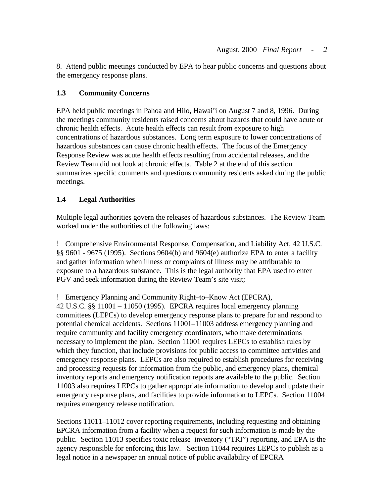<span id="page-10-0"></span>8. Attend public meetings conducted by EPA to hear public concerns and questions about the emergency response plans.

# **1.3 Community Concerns**

EPA held public meetings in Pahoa and Hilo, Hawai'i on August 7 and 8, 1996. During the meetings community residents raised concerns about hazards that could have acute or chronic health effects. Acute health effects can result from exposure to high concentrations of hazardous substances. Long term exposure to lower concentrations of hazardous substances can cause chronic health effects. The focus of the Emergency Response Review was acute health effects resulting from accidental releases, and the Review Team did not look at chronic effects. Table 2 at the end of this section summarizes specific comments and questions community residents asked during the public meetings.

# **1.4 Legal Authorities**

Multiple legal authorities govern the releases of hazardous substances. The Review Team worked under the authorities of the following laws:

! Comprehensive Environmental Response, Compensation, and Liability Act, 42 U.S.C. §§ 9601 - 9675 (1995). Sections 9604(b) and 9604(e) authorize EPA to enter a facility and gather information when illness or complaints of illness may be attributable to exposure to a hazardous substance. This is the legal authority that EPA used to enter PGV and seek information during the Review Team's site visit;

! Emergency Planning and Community Right–to–Know Act (EPCRA),

42 U.S.C. §§ 11001 – 11050 (1995). EPCRA requires local emergency planning committees (LEPCs) to develop emergency response plans to prepare for and respond to potential chemical accidents. Sections 11001–11003 address emergency planning and require community and facility emergency coordinators, who make determinations necessary to implement the plan. Section 11001 requires LEPCs to establish rules by which they function, that include provisions for public access to committee activities and emergency response plans. LEPCs are also required to establish procedures for receiving and processing requests for information from the public, and emergency plans, chemical inventory reports and emergency notification reports are available to the public. Section 11003 also requires LEPCs to gather appropriate information to develop and update their emergency response plans, and facilities to provide information to LEPCs. Section 11004 requires emergency release notification.

Sections 11011–11012 cover reporting requirements, including requesting and obtaining EPCRA information from a facility when a request for such information is made by the public. Section 11013 specifies toxic release inventory ("TRI") reporting, and EPA is the agency responsible for enforcing this law. Section 11044 requires LEPCs to publish as a legal notice in a newspaper an annual notice of public availability of EPCRA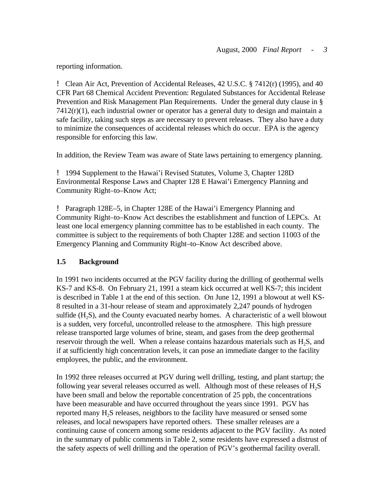<span id="page-11-0"></span>reporting information.

! Clean Air Act, Prevention of Accidental Releases, 42 U.S.C. § 7412(r) (1995), and 40 CFR Part 68 Chemical Accident Prevention: Regulated Substances for Accidental Release Prevention and Risk Management Plan Requirements. Under the general duty clause in §  $7412(r)(1)$ , each industrial owner or operator has a general duty to design and maintain a safe facility, taking such steps as are necessary to prevent releases. They also have a duty to minimize the consequences of accidental releases which do occur. EPA is the agency responsible for enforcing this law.

In addition, the Review Team was aware of State laws pertaining to emergency planning.

! 1994 Supplement to the Hawai'i Revised Statutes, Volume 3, Chapter 128D Environmental Response Laws and Chapter 128 E Hawai'i Emergency Planning and Community Right–to–Know Act;

! Paragraph 128E–5, in Chapter 128E of the Hawai'i Emergency Planning and Community Right–to–Know Act describes the establishment and function of LEPCs. At least one local emergency planning committee has to be established in each county. The committee is subject to the requirements of both Chapter 128E and section 11003 of the Emergency Planning and Community Right–to–Know Act described above.

# **1.5 Background**

In 1991 two incidents occurred at the PGV facility during the drilling of geothermal wells KS-7 and KS-8. On February 21, 1991 a steam kick occurred at well KS-7; this incident is described in Table 1 at the end of this section. On June 12, 1991 a blowout at well KS-8 resulted in a 31-hour release of steam and approximately 2,247 pounds of hydrogen sulfide  $(H<sub>2</sub>S)$ , and the County evacuated nearby homes. A characteristic of a well blowout is a sudden, very forceful, uncontrolled release to the atmosphere. This high pressure release transported large volumes of brine, steam, and gases from the deep geothermal reservoir through the well. When a release contains hazardous materials such as  $H_2S$ , and if at sufficiently high concentration levels, it can pose an immediate danger to the facility employees, the public, and the environment.

In 1992 three releases occurred at PGV during well drilling, testing, and plant startup; the following year several releases occurred as well. Although most of these releases of  $H_2S$ have been small and below the reportable concentration of 25 ppb, the concentrations have been measurable and have occurred throughout the years since 1991. PGV has reported many H<sub>2</sub>S releases, neighbors to the facility have measured or sensed some releases, and local newspapers have reported others. These smaller releases are a continuing cause of concern among some residents adjacent to the PGV facility. As noted in the summary of public comments in Table 2, some residents have expressed a distrust of the safety aspects of well drilling and the operation of PGV's geothermal facility overall.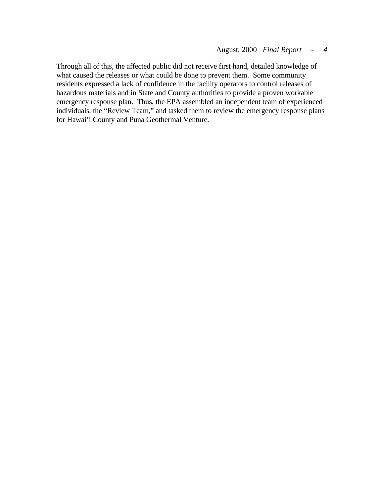Through all of this, the affected public did not receive first hand, detailed knowledge of what caused the releases or what could be done to prevent them. Some community residents expressed a lack of confidence in the facility operators to control releases of hazardous materials and in State and County authorities to provide a proven workable emergency response plan. Thus, the EPA assembled an independent team of experienced individuals, the "Review Team," and tasked them to review the emergency response plans for Hawai'i County and Puna Geothermal Venture.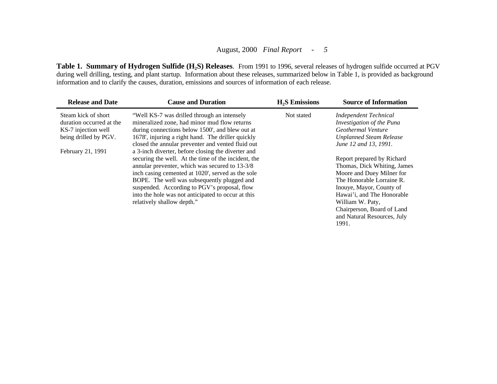Table 1. Summary of Hydrogen Sulfide (H<sub>2</sub>S) Releases. From 1991 to 1996, several releases of hydrogen sulfide occurred at PGV during well drilling, testing, and plant startup. Information about these releases, summarized below in Table 1, is provided as background information and to clarify the causes, duration, emissions and sources of information of each release.

| <b>Release and Date</b>                                                                         | <b>Cause and Duration</b>                                                                                                                                                                                                                                                                                                                                                                           | $H2S$ Emissions | <b>Source of Information</b>                                                                                                                                                                                                                                            |
|-------------------------------------------------------------------------------------------------|-----------------------------------------------------------------------------------------------------------------------------------------------------------------------------------------------------------------------------------------------------------------------------------------------------------------------------------------------------------------------------------------------------|-----------------|-------------------------------------------------------------------------------------------------------------------------------------------------------------------------------------------------------------------------------------------------------------------------|
| Steam kick of short<br>duration occurred at the<br>KS-7 injection well<br>being drilled by PGV. | "Well KS-7 was drilled through an intensely<br>mineralized zone, had minor mud flow returns<br>during connections below 1500', and blew out at<br>1678', injuring a right hand. The driller quickly<br>closed the annular preventer and vented fluid out                                                                                                                                            | Not stated      | <b>Independent Technical</b><br>Investigation of the Puna<br>Geothermal Venture<br><b>Unplanned Steam Release</b><br>June 12 and 13, 1991.                                                                                                                              |
| February 21, 1991                                                                               | a 3-inch diverter, before closing the diverter and<br>securing the well. At the time of the incident, the<br>annular preventer, which was secured to 13-3/8<br>inch casing cemented at 1020', served as the sole<br>BOPE. The well was subsequently plugged and<br>suspended. According to PGV's proposal, flow<br>into the hole was not anticipated to occur at this<br>relatively shallow depth." |                 | Report prepared by Richard<br>Thomas, Dick Whiting, James<br>Moore and Duey Milner for<br>The Honorable Lorraine R.<br>Inouye, Mayor, County of<br>Hawai'i, and The Honorable<br>William W. Paty,<br>Chairperson, Board of Land<br>and Natural Resources, July<br>1991. |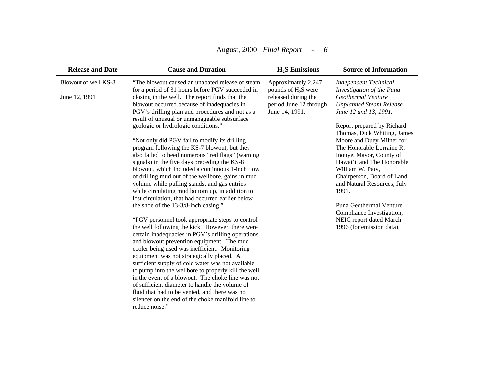# August, 2000 *Final Report - 6*

| <b>Release and Date</b>               | <b>Cause and Duration</b>                                                                                                                                                                                                                                                                                                                                                                                                                                                                                                                                                                                                                                                                                                                                                                                                                                                                                                                                                                                                                                                                                                                                                                                                                                                                                                                                                                                                                                                                                         | $H2S$ Emissions                                                                                                 | <b>Source of Information</b>                                                                                                                                                                                                                                                                                                                                                                                                                                                                                                          |
|---------------------------------------|-------------------------------------------------------------------------------------------------------------------------------------------------------------------------------------------------------------------------------------------------------------------------------------------------------------------------------------------------------------------------------------------------------------------------------------------------------------------------------------------------------------------------------------------------------------------------------------------------------------------------------------------------------------------------------------------------------------------------------------------------------------------------------------------------------------------------------------------------------------------------------------------------------------------------------------------------------------------------------------------------------------------------------------------------------------------------------------------------------------------------------------------------------------------------------------------------------------------------------------------------------------------------------------------------------------------------------------------------------------------------------------------------------------------------------------------------------------------------------------------------------------------|-----------------------------------------------------------------------------------------------------------------|---------------------------------------------------------------------------------------------------------------------------------------------------------------------------------------------------------------------------------------------------------------------------------------------------------------------------------------------------------------------------------------------------------------------------------------------------------------------------------------------------------------------------------------|
| Blowout of well KS-8<br>June 12, 1991 | "The blowout caused an unabated release of steam<br>for a period of 31 hours before PGV succeeded in<br>closing in the well. The report finds that the<br>blowout occurred because of inadequacies in<br>PGV's drilling plan and procedures and not as a<br>result of unusual or unmanageable subsurface<br>geologic or hydrologic conditions."<br>"Not only did PGV fail to modify its drilling<br>program following the KS-7 blowout, but they<br>also failed to heed numerous "red flags" (warning<br>signals) in the five days preceding the KS-8<br>blowout, which included a continuous 1-inch flow<br>of drilling mud out of the wellbore, gains in mud<br>volume while pulling stands, and gas entries<br>while circulating mud bottom up, in addition to<br>lost circulation, that had occurred earlier below<br>the shoe of the 13-3/8-inch casing."<br>"PGV personnel took appropriate steps to control<br>the well following the kick. However, there were<br>certain inadequacies in PGV's drilling operations<br>and blowout prevention equipment. The mud<br>cooler being used was inefficient. Monitoring<br>equipment was not strategically placed. A<br>sufficient supply of cold water was not available<br>to pump into the wellbore to properly kill the well<br>in the event of a blowout. The choke line was not<br>of sufficient diameter to handle the volume of<br>fluid that had to be vented, and there was no<br>silencer on the end of the choke manifold line to<br>reduce noise." | Approximately 2,247<br>pounds of $H_2S$ were<br>released during the<br>period June 12 through<br>June 14, 1991. | <b>Independent Technical</b><br>Investigation of the Puna<br>Geothermal Venture<br><b>Unplanned Steam Release</b><br>June 12 and 13, 1991.<br>Report prepared by Richard<br>Thomas, Dick Whiting, James<br>Moore and Duey Milner for<br>The Honorable Lorraine R.<br>Inouye, Mayor, County of<br>Hawai'i, and The Honorable<br>William W. Paty,<br>Chairperson, Board of Land<br>and Natural Resources, July<br>1991.<br>Puna Geothermal Venture<br>Compliance Investigation,<br>NEIC report dated March<br>1996 (for emission data). |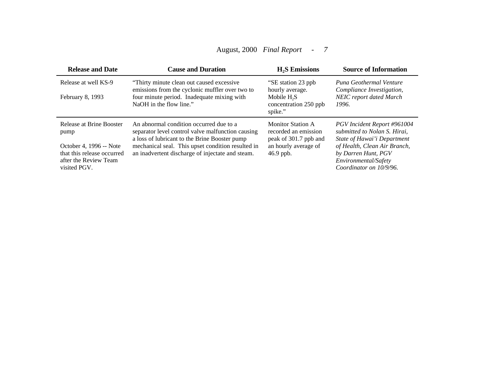# August, 2000 *Final Report - 7*

| <b>Release and Date</b>                                                                                                            | <b>Cause and Duration</b>                                                                                                                                                                                                                              | $H2S$ Emissions                                                                                                  | <b>Source of Information</b>                                                                                                                                                                         |
|------------------------------------------------------------------------------------------------------------------------------------|--------------------------------------------------------------------------------------------------------------------------------------------------------------------------------------------------------------------------------------------------------|------------------------------------------------------------------------------------------------------------------|------------------------------------------------------------------------------------------------------------------------------------------------------------------------------------------------------|
| Release at well KS-9<br>February 8, 1993                                                                                           | "Thirty minute clean out caused excessive<br>emissions from the cyclonic muffler over two to<br>four minute period. Inadequate mixing with<br>NaOH in the flow line."                                                                                  | "SE station 23 ppb<br>hourly average.<br>Mobile $H_2S$<br>concentration 250 ppb<br>spike."                       | Puna Geothermal Venture<br>Compliance Investigation,<br><b>NEIC</b> report dated March<br>1996.                                                                                                      |
| Release at Brine Booster<br>pump<br>October 4, 1996 -- Note<br>that this release occurred<br>after the Review Team<br>visited PGV. | An abnormal condition occurred due to a<br>separator level control valve malfunction causing<br>a loss of lubricant to the Brine Booster pump<br>mechanical seal. This upset condition resulted in<br>an inadvertent discharge of injectate and steam. | <b>Monitor Station A</b><br>recorded an emission<br>peak of 301.7 ppb and<br>an hourly average of<br>$46.9$ ppb. | PGV Incident Report #961004<br>submitted to Nolan S. Hirai,<br>State of Hawai'i Department<br>of Health, Clean Air Branch,<br>by Darren Hunt, PGV<br>Environmental/Safety<br>Coordinator on 10/9/96. |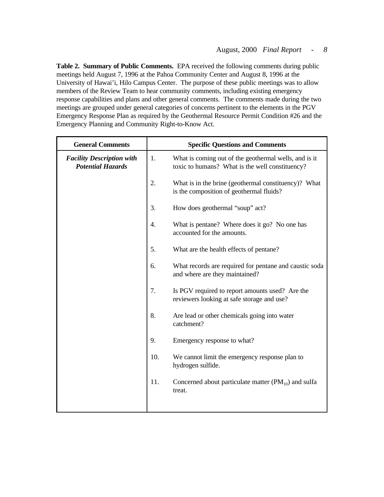**Table 2. Summary of Public Comments.** EPA received the following comments during public meetings held August 7, 1996 at the Pahoa Community Center and August 8, 1996 at the University of Hawai'i, Hilo Campus Center. The purpose of these public meetings was to allow members of the Review Team to hear community comments, including existing emergency response capabilities and plans and other general comments. The comments made during the two meetings are grouped under general categories of concerns pertinent to the elements in the PGV Emergency Response Plan as required by the Geothermal Resource Permit Condition #26 and the Emergency Planning and Community Right-to-Know Act.

| <b>General Comments</b>                                      |                  | <b>Specific Questions and Comments</b>                                                                   |
|--------------------------------------------------------------|------------------|----------------------------------------------------------------------------------------------------------|
| <b>Facility Description with</b><br><b>Potential Hazards</b> | 1.               | What is coming out of the geothermal wells, and is it<br>toxic to humans? What is the well constituency? |
|                                                              | 2.               | What is in the brine (geothermal constituency)? What<br>is the composition of geothermal fluids?         |
|                                                              | 3.               | How does geothermal "soup" act?                                                                          |
|                                                              | $\overline{4}$ . | What is pentane? Where does it go? No one has<br>accounted for the amounts.                              |
|                                                              | 5.               | What are the health effects of pentane?                                                                  |
|                                                              | 6.               | What records are required for pentane and caustic soda<br>and where are they maintained?                 |
|                                                              | 7.               | Is PGV required to report amounts used? Are the<br>reviewers looking at safe storage and use?            |
|                                                              | 8.               | Are lead or other chemicals going into water<br>catchment?                                               |
|                                                              | 9.               | Emergency response to what?                                                                              |
|                                                              | 10.              | We cannot limit the emergency response plan to<br>hydrogen sulfide.                                      |
|                                                              | 11.              | Concerned about particulate matter $(PM_{10})$ and sulfa<br>treat.                                       |
|                                                              |                  |                                                                                                          |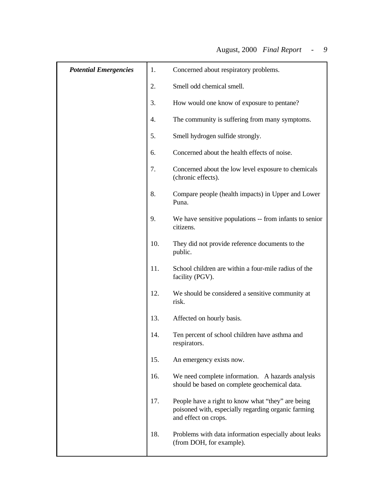| <b>Potential Emergencies</b> |     | Concerned about respiratory problems.                                                                                            |
|------------------------------|-----|----------------------------------------------------------------------------------------------------------------------------------|
|                              | 2.  | Smell odd chemical smell.                                                                                                        |
|                              | 3.  | How would one know of exposure to pentane?                                                                                       |
|                              | 4.  | The community is suffering from many symptoms.                                                                                   |
|                              | 5.  | Smell hydrogen sulfide strongly.                                                                                                 |
|                              | 6.  | Concerned about the health effects of noise.                                                                                     |
|                              | 7.  | Concerned about the low level exposure to chemicals<br>(chronic effects).                                                        |
|                              | 8.  | Compare people (health impacts) in Upper and Lower<br>Puna.                                                                      |
|                              | 9.  | We have sensitive populations -- from infants to senior<br>citizens.                                                             |
|                              | 10. | They did not provide reference documents to the<br>public.                                                                       |
|                              | 11. | School children are within a four-mile radius of the<br>facility (PGV).                                                          |
|                              | 12. | We should be considered a sensitive community at<br>risk.                                                                        |
|                              | 13. | Affected on hourly basis.                                                                                                        |
|                              | 14. | Ten percent of school children have asthma and<br>respirators.                                                                   |
|                              | 15. | An emergency exists now.                                                                                                         |
|                              | 16. | We need complete information. A hazards analysis<br>should be based on complete geochemical data.                                |
|                              | 17. | People have a right to know what "they" are being<br>poisoned with, especially regarding organic farming<br>and effect on crops. |
|                              | 18. | Problems with data information especially about leaks<br>(from DOH, for example).                                                |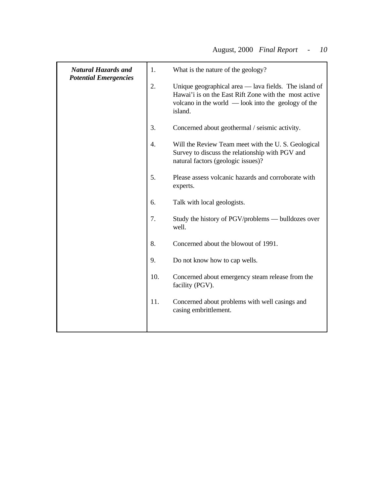| <b>Natural Hazards and</b><br><b>Potential Emergencies</b> | 1.               | What is the nature of the geology?                                                                                                                                                    |
|------------------------------------------------------------|------------------|---------------------------------------------------------------------------------------------------------------------------------------------------------------------------------------|
|                                                            | 2.               | Unique geographical area — lava fields. The island of<br>Hawai'i is on the East Rift Zone with the most active<br>volcano in the world $\sim$ look into the geology of the<br>island. |
|                                                            | 3.               | Concerned about geothermal / seismic activity.                                                                                                                                        |
|                                                            | $\overline{4}$ . | Will the Review Team meet with the U.S. Geological<br>Survey to discuss the relationship with PGV and<br>natural factors (geologic issues)?                                           |
|                                                            | 5.               | Please assess volcanic hazards and corroborate with<br>experts.                                                                                                                       |
|                                                            | 6.               | Talk with local geologists.                                                                                                                                                           |
|                                                            | 7.               | Study the history of PGV/problems — bulldozes over<br>well.                                                                                                                           |
|                                                            | 8.               | Concerned about the blowout of 1991.                                                                                                                                                  |
|                                                            | 9.               | Do not know how to cap wells.                                                                                                                                                         |
|                                                            | 10.              | Concerned about emergency steam release from the<br>facility (PGV).                                                                                                                   |
|                                                            | 11.              | Concerned about problems with well casings and<br>casing embrittlement.                                                                                                               |
|                                                            |                  |                                                                                                                                                                                       |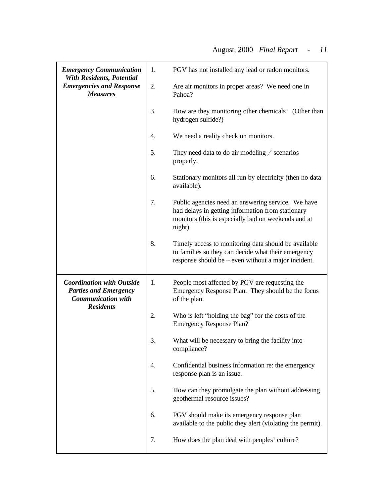| <b>Emergency Communication</b><br><b>With Residents, Potential</b><br><b>Emergencies and Response</b><br><b>Measures</b> | 1.               | PGV has not installed any lead or radon monitors.                                                                                                                         |
|--------------------------------------------------------------------------------------------------------------------------|------------------|---------------------------------------------------------------------------------------------------------------------------------------------------------------------------|
|                                                                                                                          | 2.               | Are air monitors in proper areas? We need one in<br>Pahoa?                                                                                                                |
|                                                                                                                          | 3.               | How are they monitoring other chemicals? (Other than<br>hydrogen sulfide?)                                                                                                |
|                                                                                                                          | $\overline{4}$ . | We need a reality check on monitors.                                                                                                                                      |
|                                                                                                                          | 5.               | They need data to do air modeling $\ell$ scenarios<br>properly.                                                                                                           |
|                                                                                                                          | 6.               | Stationary monitors all run by electricity (then no data<br>available).                                                                                                   |
|                                                                                                                          | 7.               | Public agencies need an answering service. We have<br>had delays in getting information from stationary<br>monitors (this is especially bad on weekends and at<br>night). |
|                                                                                                                          | 8.               | Timely access to monitoring data should be available<br>to families so they can decide what their emergency<br>response should be – even without a major incident.        |
| <b>Coordination with Outside</b><br><b>Parties and Emergency</b><br><b>Communication with</b><br><b>Residents</b>        | 1.               | People most affected by PGV are requesting the<br>Emergency Response Plan. They should be the focus<br>of the plan.                                                       |
|                                                                                                                          | 2.               | Who is left "holding the bag" for the costs of the<br><b>Emergency Response Plan?</b>                                                                                     |
|                                                                                                                          | 3                | What will be necessary to bring the facility into<br>compliance?                                                                                                          |
|                                                                                                                          | 4.               | Confidential business information re: the emergency<br>response plan is an issue.                                                                                         |
|                                                                                                                          | 5.               | How can they promulgate the plan without addressing<br>geothermal resource issues?                                                                                        |
|                                                                                                                          | 6.               | PGV should make its emergency response plan<br>available to the public they alert (violating the permit).                                                                 |
|                                                                                                                          | 7.               | How does the plan deal with peoples' culture?                                                                                                                             |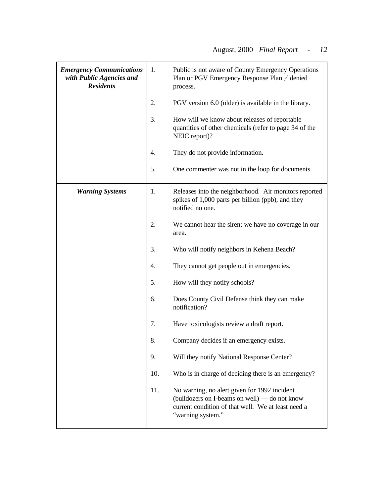| <b>Emergency Communications</b><br>with Public Agencies and<br><b>Residents</b> | 1.  | Public is not aware of County Emergency Operations<br>Plan or PGV Emergency Response Plan / denied<br>process.                                                           |
|---------------------------------------------------------------------------------|-----|--------------------------------------------------------------------------------------------------------------------------------------------------------------------------|
|                                                                                 | 2.  | PGV version 6.0 (older) is available in the library.                                                                                                                     |
|                                                                                 | 3.  | How will we know about releases of reportable<br>quantities of other chemicals (refer to page 34 of the<br>NEIC report)?                                                 |
|                                                                                 | 4.  | They do not provide information.                                                                                                                                         |
|                                                                                 | 5.  | One commenter was not in the loop for documents.                                                                                                                         |
| <b>Warning Systems</b>                                                          | 1.  | Releases into the neighborhood. Air monitors reported<br>spikes of 1,000 parts per billion (ppb), and they<br>notified no one.                                           |
|                                                                                 | 2.  | We cannot hear the siren; we have no coverage in our<br>area.                                                                                                            |
|                                                                                 | 3.  | Who will notify neighbors in Kehena Beach?                                                                                                                               |
|                                                                                 | 4.  | They cannot get people out in emergencies.                                                                                                                               |
|                                                                                 | 5.  | How will they notify schools?                                                                                                                                            |
|                                                                                 | 6.  | Does County Civil Defense think they can make<br>notification?                                                                                                           |
|                                                                                 | 7.  | Have toxicologists review a draft report.                                                                                                                                |
|                                                                                 | 8.  | Company decides if an emergency exists.                                                                                                                                  |
|                                                                                 | 9.  | Will they notify National Response Center?                                                                                                                               |
|                                                                                 | 10. | Who is in charge of deciding there is an emergency?                                                                                                                      |
|                                                                                 | 11. | No warning, no alert given for 1992 incident<br>(bulldozers on I-beams on well) — do not know<br>current condition of that well. We at least need a<br>"warning system." |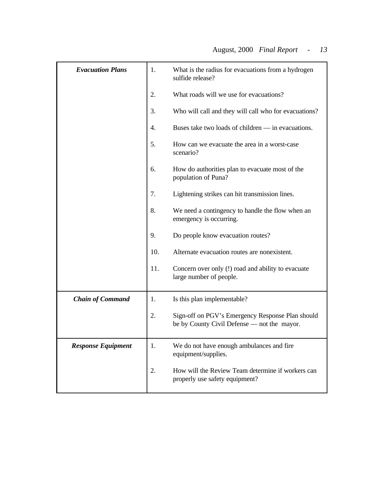|    | What is the radius for evacuations from a hydrogen<br>sulfide release? |
|----|------------------------------------------------------------------------|
|    | What roads will we use for evacuations?                                |
| 3. | Who will call and they will call who for evacuations?                  |
|    | Buses take two loads of children — in evacuations.                     |

|                           |     | sumue rejease?                                                                                  |
|---------------------------|-----|-------------------------------------------------------------------------------------------------|
|                           | 2.  | What roads will we use for evacuations?                                                         |
|                           | 3.  | Who will call and they will call who for evacuations?                                           |
|                           | 4.  | Buses take two loads of children — in evacuations.                                              |
|                           | 5.  | How can we evacuate the area in a worst-case<br>scenario?                                       |
|                           | 6.  | How do authorities plan to evacuate most of the<br>population of Puna?                          |
|                           | 7.  | Lightening strikes can hit transmission lines.                                                  |
|                           | 8.  | We need a contingency to handle the flow when an<br>emergency is occurring.                     |
|                           | 9.  | Do people know evacuation routes?                                                               |
|                           | 10. | Alternate evacuation routes are nonexistent.                                                    |
|                           | 11. | Concern over only (!) road and ability to evacuate<br>large number of people.                   |
| <b>Chain of Command</b>   | 1.  | Is this plan implementable?                                                                     |
|                           | 2.  | Sign-off on PGV's Emergency Response Plan should<br>be by County Civil Defense - not the mayor. |
| <b>Response Equipment</b> | 1.  | We do not have enough ambulances and fire<br>equipment/supplies.                                |
|                           | 2.  | How will the Review Team determine if workers can<br>properly use safety equipment?             |

*Evacuation Plans*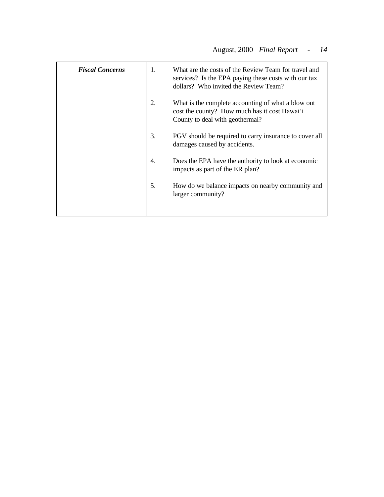| <b>Fiscal Concerns</b> | 1. | What are the costs of the Review Team for travel and<br>services? Is the EPA paying these costs with our tax<br>dollars? Who invited the Review Team? |
|------------------------|----|-------------------------------------------------------------------------------------------------------------------------------------------------------|
|                        | 2. | What is the complete accounting of what a blow out<br>cost the county? How much has it cost Hawai'i<br>County to deal with geothermal?                |
|                        | 3. | PGV should be required to carry insurance to cover all<br>damages caused by accidents.                                                                |
|                        | 4. | Does the EPA have the authority to look at economic<br>impacts as part of the ER plan?                                                                |
|                        | 5. | How do we balance impacts on nearby community and<br>larger community?                                                                                |
|                        |    |                                                                                                                                                       |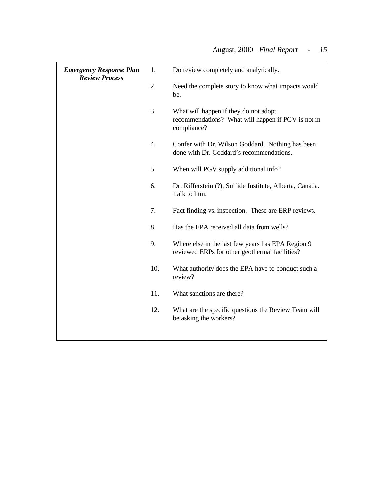| <b>Emergency Response Plan</b><br><b>Review Process</b> | 1.               | Do review completely and analytically.                                                                     |
|---------------------------------------------------------|------------------|------------------------------------------------------------------------------------------------------------|
|                                                         | 2.               | Need the complete story to know what impacts would<br>be.                                                  |
|                                                         | 3.               | What will happen if they do not adopt<br>recommendations? What will happen if PGV is not in<br>compliance? |
|                                                         | $\overline{4}$ . | Confer with Dr. Wilson Goddard. Nothing has been<br>done with Dr. Goddard's recommendations.               |
|                                                         | 5.               | When will PGV supply additional info?                                                                      |
|                                                         | 6.               | Dr. Rifferstein (?), Sulfide Institute, Alberta, Canada.<br>Talk to him.                                   |
|                                                         | 7.               | Fact finding vs. inspection. These are ERP reviews.                                                        |
|                                                         | 8.               | Has the EPA received all data from wells?                                                                  |
|                                                         | 9.               | Where else in the last few years has EPA Region 9<br>reviewed ERPs for other geothermal facilities?        |
|                                                         | 10.              | What authority does the EPA have to conduct such a<br>review?                                              |
|                                                         | 11.              | What sanctions are there?                                                                                  |
|                                                         | 12.              | What are the specific questions the Review Team will<br>be asking the workers?                             |
|                                                         |                  |                                                                                                            |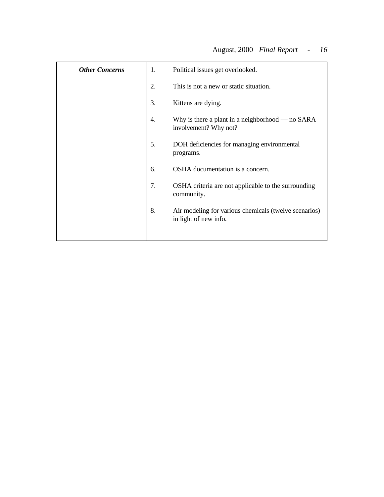| <b>Other Concerns</b> | 1. | Political issues get overlooked.                                               |
|-----------------------|----|--------------------------------------------------------------------------------|
|                       | 2. | This is not a new or static situation.                                         |
|                       | 3. | Kittens are dying.                                                             |
|                       | 4. | Why is there a plant in a neighborhood — no SARA<br>involvement? Why not?      |
|                       | 5. | DOH deficiencies for managing environmental<br>programs.                       |
|                       | 6. | OSHA documentation is a concern.                                               |
|                       | 7. | OSHA criteria are not applicable to the surrounding<br>community.              |
|                       | 8. | Air modeling for various chemicals (twelve scenarios)<br>in light of new info. |
|                       |    |                                                                                |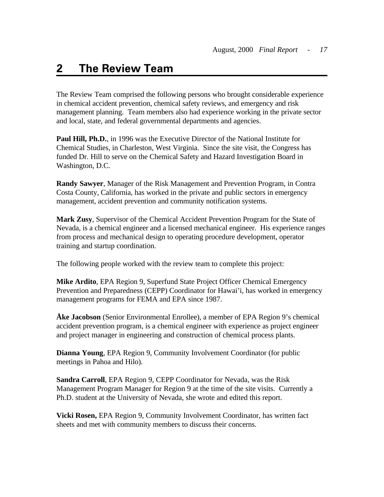# <span id="page-25-0"></span>**2 The Review Team**

The Review Team comprised the following persons who brought considerable experience in chemical accident prevention, chemical safety reviews, and emergency and risk management planning. Team members also had experience working in the private sector and local, state, and federal governmental departments and agencies.

**Paul Hill, Ph.D.**, in 1996 was the Executive Director of the National Institute for Chemical Studies, in Charleston, West Virginia. Since the site visit, the Congress has funded Dr. Hill to serve on the Chemical Safety and Hazard Investigation Board in Washington, D.C.

**Randy Sawyer**, Manager of the Risk Management and Prevention Program, in Contra Costa County, California, has worked in the private and public sectors in emergency management, accident prevention and community notification systems.

**Mark Zusy**, Supervisor of the Chemical Accident Prevention Program for the State of Nevada, is a chemical engineer and a licensed mechanical engineer. His experience ranges from process and mechanical design to operating procedure development, operator training and startup coordination.

The following people worked with the review team to complete this project:

**Mike Ardito**, EPA Region 9, Superfund State Project Officer Chemical Emergency Prevention and Preparedness (CEPP) Coordinator for Hawai'i, has worked in emergency management programs for FEMA and EPA since 1987.

**Åke Jacobson** (Senior Environmental Enrollee), a member of EPA Region 9's chemical accident prevention program, is a chemical engineer with experience as project engineer and project manager in engineering and construction of chemical process plants.

**Dianna Young**, EPA Region 9, Community Involvement Coordinator (for public meetings in Pahoa and Hilo).

**Sandra Carroll**, EPA Region 9, CEPP Coordinator for Nevada, was the Risk Management Program Manager for Region 9 at the time of the site visits. Currently a Ph.D. student at the University of Nevada, she wrote and edited this report.

**Vicki Rosen,** EPA Region 9, Community Involvement Coordinator, has written fact sheets and met with community members to discuss their concerns.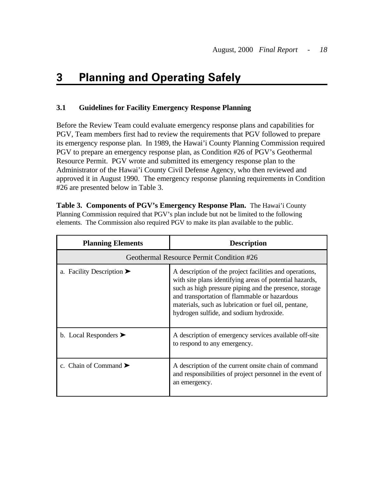#### **3 Planning and Operating Safely**

# **3.1 Guidelines for Facility Emergency Response Planning**

Before the Review Team could evaluate emergency response plans and capabilities for PGV, Team members first had to review the requirements that PGV followed to prepare its emergency response plan. In 1989, the Hawai'i County Planning Commission required PGV to prepare an emergency response plan, as Condition #26 of PGV's Geothermal Resource Permit. PGV wrote and submitted its emergency response plan to the Administrator of the Hawai'i County Civil Defense Agency, who then reviewed and approved it in August 1990. The emergency response planning requirements in Condition #26 are presented below in Table 3.

 **Table 3. Components of PGV's Emergency Response Plan.** The Hawai'i County Planning Commission required that PGV's plan include but not be limited to the following elements. The Commission also required PGV to make its plan available to the public.

| <b>Planning Elements</b>                      | <b>Description</b>                                                                                                                                                                                                                                                                                                              |
|-----------------------------------------------|---------------------------------------------------------------------------------------------------------------------------------------------------------------------------------------------------------------------------------------------------------------------------------------------------------------------------------|
|                                               | Geothermal Resource Permit Condition #26                                                                                                                                                                                                                                                                                        |
| a. Facility Description $\blacktriangleright$ | A description of the project facilities and operations,<br>with site plans identifying areas of potential hazards,<br>such as high pressure piping and the presence, storage<br>and transportation of flammable or hazardous<br>materials, such as lubrication or fuel oil, pentane,<br>hydrogen sulfide, and sodium hydroxide. |
| b. Local Responders $\blacktriangleright$     | A description of emergency services available off-site<br>to respond to any emergency.                                                                                                                                                                                                                                          |
| c. Chain of Command $\blacktriangleright$     | A description of the current onsite chain of command<br>and responsibilities of project personnel in the event of<br>an emergency.                                                                                                                                                                                              |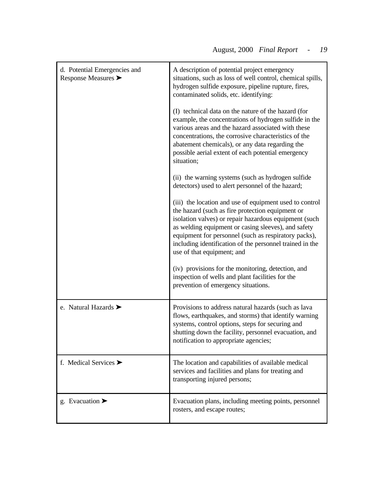| d. Potential Emergencies and<br>Response Measures $\blacktriangleright$ | A description of potential project emergency<br>situations, such as loss of well control, chemical spills,<br>hydrogen sulfide exposure, pipeline rupture, fires,<br>contaminated solids, etc. identifying:                                                                                                                                                                   |
|-------------------------------------------------------------------------|-------------------------------------------------------------------------------------------------------------------------------------------------------------------------------------------------------------------------------------------------------------------------------------------------------------------------------------------------------------------------------|
|                                                                         | (I) technical data on the nature of the hazard (for<br>example, the concentrations of hydrogen sulfide in the<br>various areas and the hazard associated with these<br>concentrations, the corrosive characteristics of the<br>abatement chemicals), or any data regarding the<br>possible aerial extent of each potential emergency<br>situation;                            |
|                                                                         | (ii) the warning systems (such as hydrogen sulfide<br>detectors) used to alert personnel of the hazard;                                                                                                                                                                                                                                                                       |
|                                                                         | (iii) the location and use of equipment used to control<br>the hazard (such as fire protection equipment or<br>isolation valves) or repair hazardous equipment (such<br>as welding equipment or casing sleeves), and safety<br>equipment for personnel (such as respiratory packs),<br>including identification of the personnel trained in the<br>use of that equipment; and |
|                                                                         | (iv) provisions for the monitoring, detection, and<br>inspection of wells and plant facilities for the<br>prevention of emergency situations.                                                                                                                                                                                                                                 |
| e. Natural Hazards $\blacktriangleright$                                | Provisions to address natural hazards (such as lava<br>flows, earthquakes, and storms) that identify warning<br>systems, control options, steps for securing and<br>shutting down the facility, personnel evacuation, and<br>notification to appropriate agencies;                                                                                                            |
| f. Medical Services $\blacktriangleright$                               | The location and capabilities of available medical<br>services and facilities and plans for treating and<br>transporting injured persons;                                                                                                                                                                                                                                     |
| g. Evacuation $\blacktriangleright$                                     | Evacuation plans, including meeting points, personnel<br>rosters, and escape routes;                                                                                                                                                                                                                                                                                          |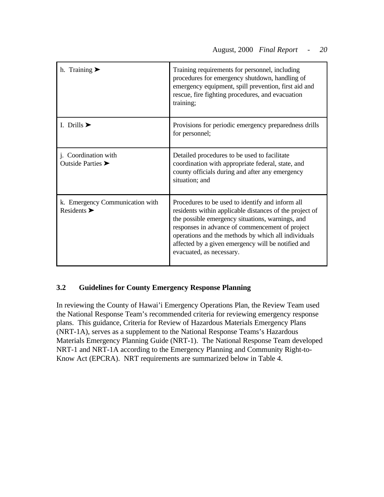| h. Training $\blacktriangleright$                                  | Training requirements for personnel, including<br>procedures for emergency shutdown, handling of<br>emergency equipment, spill prevention, first aid and<br>rescue, fire fighting procedures, and evacuation<br>training;                                                                                                                                   |
|--------------------------------------------------------------------|-------------------------------------------------------------------------------------------------------------------------------------------------------------------------------------------------------------------------------------------------------------------------------------------------------------------------------------------------------------|
| I. Drills $\blacktriangleright$                                    | Provisions for periodic emergency preparedness drills<br>for personnel;                                                                                                                                                                                                                                                                                     |
| j. Coordination with<br>Outside Parties $\blacktriangleright$      | Detailed procedures to be used to facilitate<br>coordination with appropriate federal, state, and<br>county officials during and after any emergency<br>situation; and                                                                                                                                                                                      |
| k. Emergency Communication with<br>Residents $\blacktriangleright$ | Procedures to be used to identify and inform all<br>residents within applicable distances of the project of<br>the possible emergency situations, warnings, and<br>responses in advance of commencement of project<br>operations and the methods by which all individuals<br>affected by a given emergency will be notified and<br>evacuated, as necessary. |

# **3.2 Guidelines for County Emergency Response Planning**

In reviewing the County of Hawai'i Emergency Operations Plan, the Review Team used the National Response Team's recommended criteria for reviewing emergency response plans. This guidance, Criteria for Review of Hazardous Materials Emergency Plans (NRT-1A), serves as a supplement to the National Response Teams's Hazardous Materials Emergency Planning Guide (NRT-1). The National Response Team developed NRT-1 and NRT-1A according to the Emergency Planning and Community Right-to-Know Act (EPCRA). NRT requirements are summarized below in Table 4.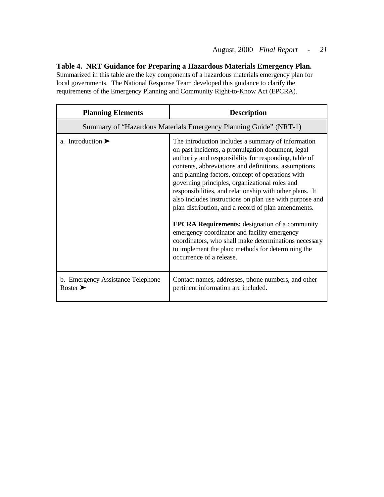### **Table 4. NRT Guidance for Preparing a Hazardous Materials Emergency Plan.**

Summarized in this table are the key components of a hazardous materials emergency plan for local governments. The National Response Team developed this guidance to clarify the requirements of the Emergency Planning and Community Right-to-Know Act (EPCRA).

| <b>Planning Elements</b>                                          | <b>Description</b>                                                                                                                                                                                                                                                                                                                                                                                                                                                                                                                                                                                                                                                                                                                                              |
|-------------------------------------------------------------------|-----------------------------------------------------------------------------------------------------------------------------------------------------------------------------------------------------------------------------------------------------------------------------------------------------------------------------------------------------------------------------------------------------------------------------------------------------------------------------------------------------------------------------------------------------------------------------------------------------------------------------------------------------------------------------------------------------------------------------------------------------------------|
|                                                                   | Summary of "Hazardous Materials Emergency Planning Guide" (NRT-1)                                                                                                                                                                                                                                                                                                                                                                                                                                                                                                                                                                                                                                                                                               |
| a. Introduction $\blacktriangleright$                             | The introduction includes a summary of information<br>on past incidents, a promulgation document, legal<br>authority and responsibility for responding, table of<br>contents, abbreviations and definitions, assumptions<br>and planning factors, concept of operations with<br>governing principles, organizational roles and<br>responsibilities, and relationship with other plans. It<br>also includes instructions on plan use with purpose and<br>plan distribution, and a record of plan amendments.<br><b>EPCRA Requirements:</b> designation of a community<br>emergency coordinator and facility emergency<br>coordinators, who shall make determinations necessary<br>to implement the plan; methods for determining the<br>occurrence of a release. |
| b. Emergency Assistance Telephone<br>Roster $\blacktriangleright$ | Contact names, addresses, phone numbers, and other<br>pertinent information are included.                                                                                                                                                                                                                                                                                                                                                                                                                                                                                                                                                                                                                                                                       |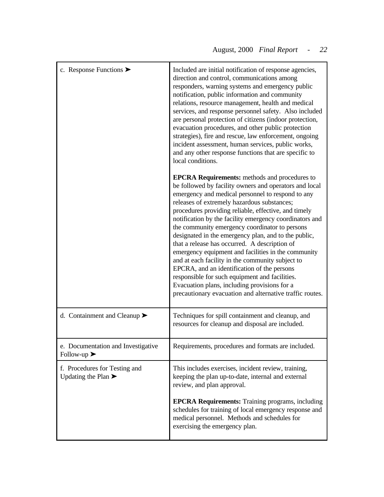| c. Response Functions $\blacktriangleright$                              | Included are initial notification of response agencies,<br>direction and control, communications among<br>responders, warning systems and emergency public<br>notification, public information and community<br>relations, resource management, health and medical<br>services, and response personnel safety. Also included<br>are personal protection of citizens (indoor protection,<br>evacuation procedures, and other public protection<br>strategies), fire and rescue, law enforcement, ongoing<br>incident assessment, human services, public works,<br>and any other response functions that are specific to<br>local conditions.                                                                                                                                                                              |
|--------------------------------------------------------------------------|--------------------------------------------------------------------------------------------------------------------------------------------------------------------------------------------------------------------------------------------------------------------------------------------------------------------------------------------------------------------------------------------------------------------------------------------------------------------------------------------------------------------------------------------------------------------------------------------------------------------------------------------------------------------------------------------------------------------------------------------------------------------------------------------------------------------------|
|                                                                          | <b>EPCRA Requirements:</b> methods and procedures to<br>be followed by facility owners and operators and local<br>emergency and medical personnel to respond to any<br>releases of extremely hazardous substances;<br>procedures providing reliable, effective, and timely<br>notification by the facility emergency coordinators and<br>the community emergency coordinator to persons<br>designated in the emergency plan, and to the public,<br>that a release has occurred. A description of<br>emergency equipment and facilities in the community<br>and at each facility in the community subject to<br>EPCRA, and an identification of the persons<br>responsible for such equipment and facilities.<br>Evacuation plans, including provisions for a<br>precautionary evacuation and alternative traffic routes. |
| d. Containment and Cleanup $\blacktriangleright$                         | Techniques for spill containment and cleanup, and<br>resources for cleanup and disposal are included.                                                                                                                                                                                                                                                                                                                                                                                                                                                                                                                                                                                                                                                                                                                    |
| e. Documentation and Investigative<br>Follow-up $\blacktriangleright$    | Requirements, procedures and formats are included.                                                                                                                                                                                                                                                                                                                                                                                                                                                                                                                                                                                                                                                                                                                                                                       |
| f. Procedures for Testing and<br>Updating the Plan $\blacktriangleright$ | This includes exercises, incident review, training,<br>keeping the plan up-to-date, internal and external<br>review, and plan approval.                                                                                                                                                                                                                                                                                                                                                                                                                                                                                                                                                                                                                                                                                  |
|                                                                          | <b>EPCRA Requirements:</b> Training programs, including<br>schedules for training of local emergency response and<br>medical personnel. Methods and schedules for<br>exercising the emergency plan.                                                                                                                                                                                                                                                                                                                                                                                                                                                                                                                                                                                                                      |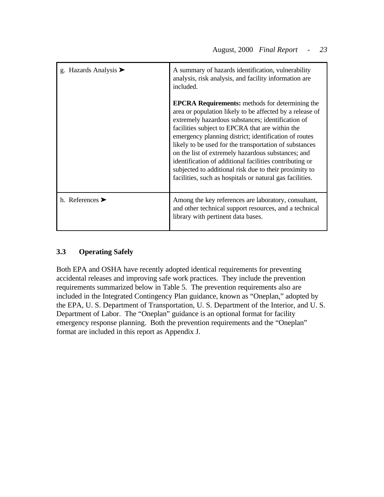| g. Hazards Analysis $\blacktriangleright$ | A summary of hazards identification, vulnerability<br>analysis, risk analysis, and facility information are<br>included.                                                                                                                                                                                                                                                                                                                                                                                                                                                             |
|-------------------------------------------|--------------------------------------------------------------------------------------------------------------------------------------------------------------------------------------------------------------------------------------------------------------------------------------------------------------------------------------------------------------------------------------------------------------------------------------------------------------------------------------------------------------------------------------------------------------------------------------|
|                                           | <b>EPCRA Requirements:</b> methods for determining the<br>area or population likely to be affected by a release of<br>extremely hazardous substances; identification of<br>facilities subject to EPCRA that are within the<br>emergency planning district; identification of routes<br>likely to be used for the transportation of substances<br>on the list of extremely hazardous substances; and<br>identification of additional facilities contributing or<br>subjected to additional risk due to their proximity to<br>facilities, such as hospitals or natural gas facilities. |
| h. References $\blacktriangleright$       | Among the key references are laboratory, consultant,<br>and other technical support resources, and a technical<br>library with pertinent data bases.                                                                                                                                                                                                                                                                                                                                                                                                                                 |

# **3.3 Operating Safely**

Both EPA and OSHA have recently adopted identical requirements for preventing accidental releases and improving safe work practices. They include the prevention requirements summarized below in Table 5. The prevention requirements also are included in the Integrated Contingency Plan guidance, known as "Oneplan," adopted by the EPA, U. S. Department of Transportation, U. S. Department of the Interior, and U. S. Department of Labor. The "Oneplan" guidance is an optional format for facility emergency response planning. Both the prevention requirements and the "Oneplan" format are included in this report as Appendix J.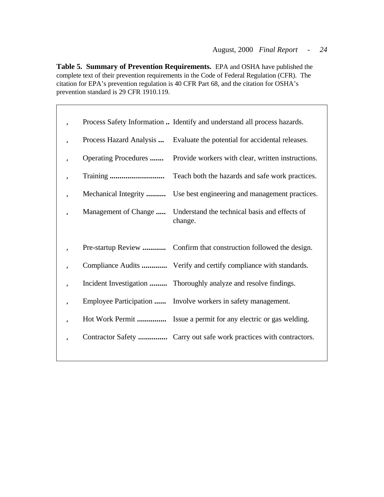**Table 5. Summary of Prevention Requirements.** EPA and OSHA have published the complete text of their prevention requirements in the Code of Federal Regulation (CFR). The citation for EPA's prevention regulation is 40 CFR Part 68, and the citation for OSHA's prevention standard is 29 CFR 1910.119.

|              |                         | Process Safety Information  Identify and understand all process hazards. |
|--------------|-------------------------|--------------------------------------------------------------------------|
|              | Process Hazard Analysis | Evaluate the potential for accidental releases.                          |
| $\mathbf{r}$ | Operating Procedures    | Provide workers with clear, written instructions.                        |
|              |                         | Teach both the hazards and safe work practices.                          |
|              | Mechanical Integrity    | Use best engineering and management practices.                           |
|              | Management of Change    | Understand the technical basis and effects of<br>change.                 |
|              |                         |                                                                          |
|              |                         |                                                                          |
|              |                         |                                                                          |
|              |                         | Compliance Audits  Verify and certify compliance with standards.         |
|              |                         | Incident Investigation  Thoroughly analyze and resolve findings.         |
| $\mathbf{r}$ |                         | Employee Participation  Involve workers in safety management.            |
|              |                         | Hot Work Permit  Issue a permit for any electric or gas welding.         |
|              |                         | Contractor Safety  Carry out safe work practices with contractors.       |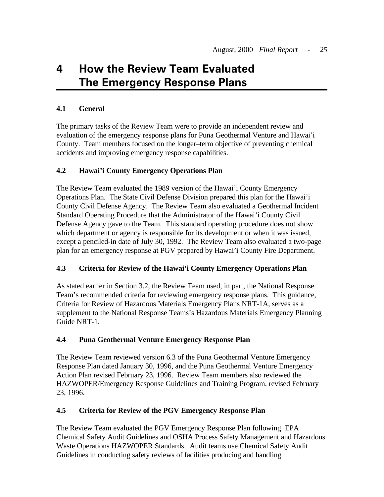# <span id="page-33-0"></span>**4 How the Review Team Evaluated The Emergency Response Plans**

# **4.1 General**

The primary tasks of the Review Team were to provide an independent review and evaluation of the emergency response plans for Puna Geothermal Venture and Hawai'i County. Team members focused on the longer–term objective of preventing chemical accidents and improving emergency response capabilities.

# **4.2 Hawai'i County Emergency Operations Plan**

The Review Team evaluated the 1989 version of the Hawai'i County Emergency Operations Plan. The State Civil Defense Division prepared this plan for the Hawai'i County Civil Defense Agency. The Review Team also evaluated a Geothermal Incident Standard Operating Procedure that the Administrator of the Hawai'i County Civil Defense Agency gave to the Team. This standard operating procedure does not show which department or agency is responsible for its development or when it was issued, except a penciled-in date of July 30, 1992. The Review Team also evaluated a two-page plan for an emergency response at PGV prepared by Hawai'i County Fire Department.

# **4.3 Criteria for Review of the Hawai'i County Emergency Operations Plan**

As stated earlier in Section 3.2, the Review Team used, in part, the National Response Team's recommended criteria for reviewing emergency response plans. This guidance, Criteria for Review of Hazardous Materials Emergency Plans NRT-1A, serves as a supplement to the National Response Teams's Hazardous Materials Emergency Planning Guide NRT-1.

# **4.4 Puna Geothermal Venture Emergency Response Plan**

The Review Team reviewed version 6.3 of the Puna Geothermal Venture Emergency Response Plan dated January 30, 1996, and the Puna Geothermal Venture Emergency Action Plan revised February 23, 1996. Review Team members also reviewed the HAZWOPER/Emergency Response Guidelines and Training Program, revised February 23, 1996.

# **4.5 Criteria for Review of the PGV Emergency Response Plan**

The Review Team evaluated the PGV Emergency Response Plan following EPA Chemical Safety Audit Guidelines and OSHA Process Safety Management and Hazardous Waste Operations HAZWOPER Standards. Audit teams use Chemical Safety Audit Guidelines in conducting safety reviews of facilities producing and handling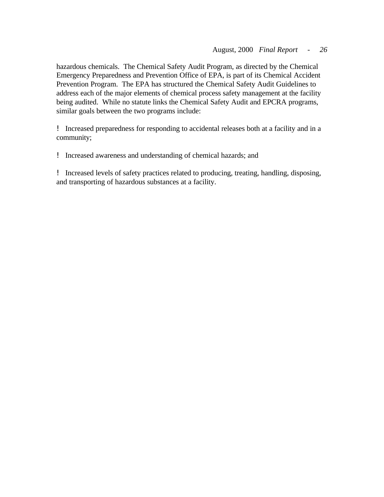hazardous chemicals. The Chemical Safety Audit Program, as directed by the Chemical Emergency Preparedness and Prevention Office of EPA, is part of its Chemical Accident Prevention Program. The EPA has structured the Chemical Safety Audit Guidelines to address each of the major elements of chemical process safety management at the facility being audited. While no statute links the Chemical Safety Audit and EPCRA programs, similar goals between the two programs include:

! Increased preparedness for responding to accidental releases both at a facility and in a community;

! Increased awareness and understanding of chemical hazards; and

! Increased levels of safety practices related to producing, treating, handling, disposing, and transporting of hazardous substances at a facility.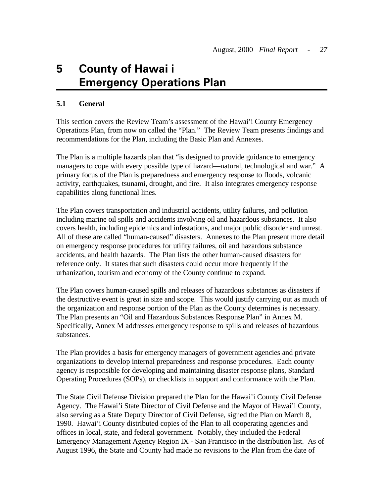# <span id="page-35-0"></span>**5 County of Hawai'i Emergency Operations Plan**

### **5.1 General**

This section covers the Review Team's assessment of the Hawai'i County Emergency Operations Plan, from now on called the "Plan." The Review Team presents findings and recommendations for the Plan, including the Basic Plan and Annexes.

The Plan is a multiple hazards plan that "is designed to provide guidance to emergency managers to cope with every possible type of hazard—natural, technological and war." A primary focus of the Plan is preparedness and emergency response to floods, volcanic activity, earthquakes, tsunami, drought, and fire. It also integrates emergency response capabilities along functional lines.

The Plan covers transportation and industrial accidents, utility failures, and pollution including marine oil spills and accidents involving oil and hazardous substances. It also covers health, including epidemics and infestations, and major public disorder and unrest. All of these are called "human-caused" disasters. Annexes to the Plan present more detail on emergency response procedures for utility failures, oil and hazardous substance accidents, and health hazards. The Plan lists the other human-caused disasters for reference only. It states that such disasters could occur more frequently if the urbanization, tourism and economy of the County continue to expand.

The Plan covers human-caused spills and releases of hazardous substances as disasters if the destructive event is great in size and scope. This would justify carrying out as much of the organization and response portion of the Plan as the County determines is necessary. The Plan presents an "Oil and Hazardous Substances Response Plan" in Annex M. Specifically, Annex M addresses emergency response to spills and releases of hazardous substances.

The Plan provides a basis for emergency managers of government agencies and private organizations to develop internal preparedness and response procedures. Each county agency is responsible for developing and maintaining disaster response plans, Standard Operating Procedures (SOPs), or checklists in support and conformance with the Plan.

The State Civil Defense Division prepared the Plan for the Hawai'i County Civil Defense Agency. The Hawai'i State Director of Civil Defense and the Mayor of Hawai'i County, also serving as a State Deputy Director of Civil Defense, signed the Plan on March 8, 1990. Hawai'i County distributed copies of the Plan to all cooperating agencies and offices in local, state, and federal government. Notably, they included the Federal Emergency Management Agency Region IX - San Francisco in the distribution list. As of August 1996, the State and County had made no revisions to the Plan from the date of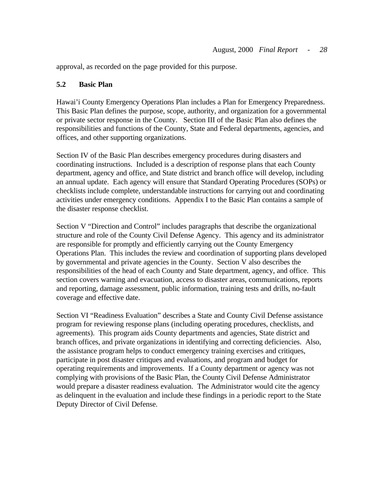<span id="page-36-0"></span>approval, as recorded on the page provided for this purpose.

# **5.2 Basic Plan**

Hawai'i County Emergency Operations Plan includes a Plan for Emergency Preparedness. This Basic Plan defines the purpose, scope, authority, and organization for a governmental or private sector response in the County. Section III of the Basic Plan also defines the responsibilities and functions of the County, State and Federal departments, agencies, and offices, and other supporting organizations.

Section IV of the Basic Plan describes emergency procedures during disasters and coordinating instructions. Included is a description of response plans that each County department, agency and office, and State district and branch office will develop, including an annual update. Each agency will ensure that Standard Operating Procedures (SOPs) or checklists include complete, understandable instructions for carrying out and coordinating activities under emergency conditions. Appendix I to the Basic Plan contains a sample of the disaster response checklist.

Section V "Direction and Control" includes paragraphs that describe the organizational structure and role of the County Civil Defense Agency. This agency and its administrator are responsible for promptly and efficiently carrying out the County Emergency Operations Plan. This includes the review and coordination of supporting plans developed by governmental and private agencies in the County. Section V also describes the responsibilities of the head of each County and State department, agency, and office. This section covers warning and evacuation, access to disaster areas, communications, reports and reporting, damage assessment, public information, training tests and drills, no-fault coverage and effective date.

Section VI "Readiness Evaluation" describes a State and County Civil Defense assistance program for reviewing response plans (including operating procedures, checklists, and agreements). This program aids County departments and agencies, State district and branch offices, and private organizations in identifying and correcting deficiencies. Also, the assistance program helps to conduct emergency training exercises and critiques, participate in post disaster critiques and evaluations, and program and budget for operating requirements and improvements. If a County department or agency was not complying with provisions of the Basic Plan, the County Civil Defense Administrator would prepare a disaster readiness evaluation. The Administrator would cite the agency as delinquent in the evaluation and include these findings in a periodic report to the State Deputy Director of Civil Defense.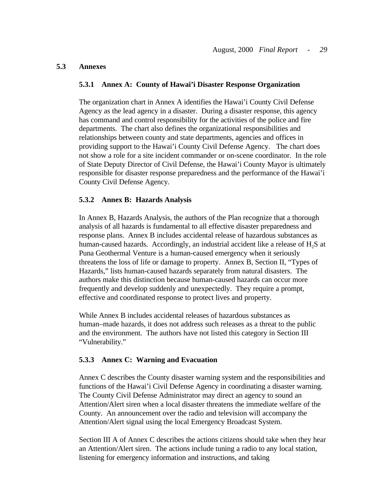#### <span id="page-37-0"></span>**5.3 Annexes**

#### **5.3.1 Annex A: County of Hawai'i Disaster Response Organization**

The organization chart in Annex A identifies the Hawai'i County Civil Defense Agency as the lead agency in a disaster. During a disaster response, this agency has command and control responsibility for the activities of the police and fire departments. The chart also defines the organizational responsibilities and relationships between county and state departments, agencies and offices in providing support to the Hawai'i County Civil Defense Agency. The chart does not show a role for a site incident commander or on-scene coordinator. In the role of State Deputy Director of Civil Defense, the Hawai'i County Mayor is ultimately responsible for disaster response preparedness and the performance of the Hawai'i County Civil Defense Agency.

#### **5.3.2 Annex B: Hazards Analysis**

In Annex B, Hazards Analysis, the authors of the Plan recognize that a thorough analysis of all hazards is fundamental to all effective disaster preparedness and response plans. Annex B includes accidental release of hazardous substances as human-caused hazards. Accordingly, an industrial accident like a release of  $H_2S$  at Puna Geothermal Venture is a human-caused emergency when it seriously threatens the loss of life or damage to property. Annex B, Section II, "Types of Hazards," lists human-caused hazards separately from natural disasters. The authors make this distinction because human-caused hazards can occur more frequently and develop suddenly and unexpectedly. They require a prompt, effective and coordinated response to protect lives and property.

While Annex B includes accidental releases of hazardous substances as human–made hazards, it does not address such releases as a threat to the public and the environment. The authors have not listed this category in Section III "Vulnerability."

#### **5.3.3 Annex C: Warning and Evacuation**

Annex C describes the County disaster warning system and the responsibilities and functions of the Hawai'i Civil Defense Agency in coordinating a disaster warning. The County Civil Defense Administrator may direct an agency to sound an Attention/Alert siren when a local disaster threatens the immediate welfare of the County. An announcement over the radio and television will accompany the Attention/Alert signal using the local Emergency Broadcast System.

Section III A of Annex C describes the actions citizens should take when they hear an Attention/Alert siren. The actions include tuning a radio to any local station, listening for emergency information and instructions, and taking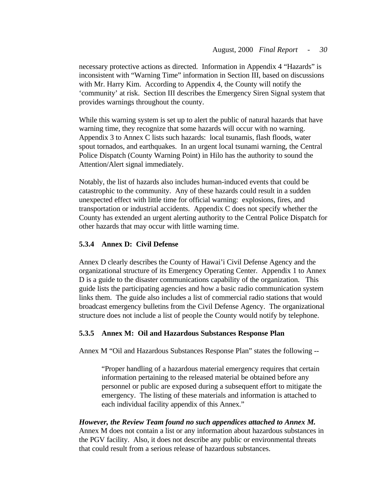necessary protective actions as directed. Information in Appendix 4 "Hazards" is inconsistent with "Warning Time" information in Section III, based on discussions with Mr. Harry Kim. According to Appendix 4, the County will notify the 'community' at risk. Section III describes the Emergency Siren Signal system that provides warnings throughout the county.

While this warning system is set up to alert the public of natural hazards that have warning time, they recognize that some hazards will occur with no warning. Appendix 3 to Annex C lists such hazards: local tsunamis, flash floods, water spout tornados, and earthquakes. In an urgent local tsunami warning, the Central Police Dispatch (County Warning Point) in Hilo has the authority to sound the Attention/Alert signal immediately.

Notably, the list of hazards also includes human-induced events that could be catastrophic to the community. Any of these hazards could result in a sudden unexpected effect with little time for official warning: explosions, fires, and transportation or industrial accidents. Appendix C does not specify whether the County has extended an urgent alerting authority to the Central Police Dispatch for other hazards that may occur with little warning time.

# **5.3.4 Annex D: Civil Defense**

Annex D clearly describes the County of Hawai'i Civil Defense Agency and the organizational structure of its Emergency Operating Center. Appendix 1 to Annex D is a guide to the disaster communications capability of the organization. This guide lists the participating agencies and how a basic radio communication system links them. The guide also includes a list of commercial radio stations that would broadcast emergency bulletins from the Civil Defense Agency. The organizational structure does not include a list of people the County would notify by telephone.

# **5.3.5 Annex M: Oil and Hazardous Substances Response Plan**

Annex M "Oil and Hazardous Substances Response Plan" states the following -

"Proper handling of a hazardous material emergency requires that certain information pertaining to the released material be obtained before any personnel or public are exposed during a subsequent effort to mitigate the emergency. The listing of these materials and information is attached to each individual facility appendix of this Annex."

### *However, the Review Team found no such appendices attached to Annex M.*  Annex M does not contain a list or any information about hazardous substances in the PGV facility. Also, it does not describe any public or environmental threats that could result from a serious release of hazardous substances.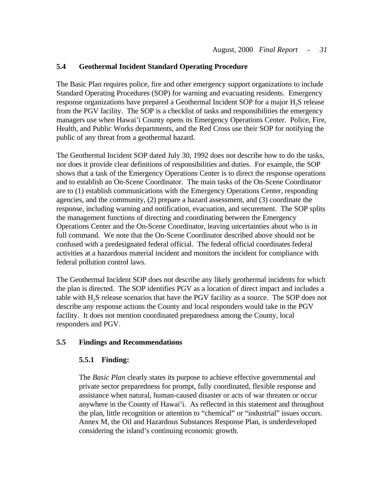### <span id="page-39-0"></span>**5.4 Geothermal Incident Standard Operating Procedure**

The Basic Plan requires police, fire and other emergency support organizations to include Standard Operating Procedures (SOP) for warning and evacuating residents. Emergency response organizations have prepared a Geothermal Incident SOP for a major H2S release from the PGV facility. The SOP is a checklist of tasks and responsibilities the emergency managers use when Hawai'i County opens its Emergency Operations Center. Police, Fire, Health, and Public Works departments, and the Red Cross use their SOP for notifying the public of any threat from a geothermal hazard.

The Geothermal Incident SOP dated July 30, 1992 does not describe how to do the tasks, nor does it provide clear definitions of responsibilities and duties. For example, the SOP shows that a task of the Emergency Operations Center is to direct the response operations and to establish an On-Scene Coordinator. The main tasks of the On-Scene Coordinator are to (1) establish communications with the Emergency Operations Center, responding agencies, and the community, (2) prepare a hazard assessment, and (3) coordinate the response, including warning and notification, evacuation, and securement. The SOP splits the management functions of directing and coordinating between the Emergency Operations Center and the On-Scene Coordinator, leaving uncertainties about who is in full command. We note that the On-Scene Coordinator described above should not be confused with a predesignated federal official. The federal official coordinates federal activities at a hazardous material incident and monitors the incident for compliance with federal pollution control laws.

The Geothermal Incident SOP does not describe any likely geothermal incidents for which the plan is directed. The SOP identifies PGV as a location of direct impact and includes a table with  $H<sub>2</sub>S$  release scenarios that have the PGV facility as a source. The SOP does not describe any response actions the County and local responders would take in the PGV facility. It does not mention coordinated preparedness among the County, local responders and PGV.

# **5.5 Findings and Recommendations**

#### **5.5.1 Finding:**

The *Basic Plan* clearly states its purpose to achieve effective governmental and private sector preparedness for prompt, fully coordinated, flexible response and assistance when natural, human-caused disaster or acts of war threaten or occur anywhere in the County of Hawai'i. As reflected in this statement and throughout the plan, little recognition or attention to "chemical" or "industrial" issues occurs. Annex M, the Oil and Hazardous Substances Response Plan, is underdeveloped considering the island's continuing economic growth.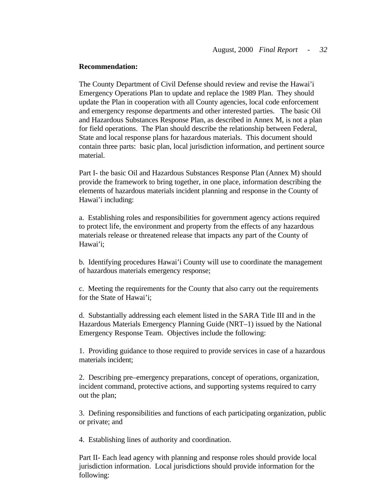The County Department of Civil Defense should review and revise the Hawai'i Emergency Operations Plan to update and replace the 1989 Plan. They should update the Plan in cooperation with all County agencies, local code enforcement and emergency response departments and other interested parties. The basic Oil and Hazardous Substances Response Plan, as described in Annex M, is not a plan for field operations. The Plan should describe the relationship between Federal, State and local response plans for hazardous materials. This document should contain three parts: basic plan, local jurisdiction information, and pertinent source material.

Part I- the basic Oil and Hazardous Substances Response Plan (Annex M) should provide the framework to bring together, in one place, information describing the elements of hazardous materials incident planning and response in the County of Hawai'i including:

a. Establishing roles and responsibilities for government agency actions required to protect life, the environment and property from the effects of any hazardous materials release or threatened release that impacts any part of the County of Hawai'i;

b. Identifying procedures Hawai'i County will use to coordinate the management of hazardous materials emergency response;

c. Meeting the requirements for the County that also carry out the requirements for the State of Hawai'i;

d. Substantially addressing each element listed in the SARA Title III and in the Hazardous Materials Emergency Planning Guide (NRT–1) issued by the National Emergency Response Team. Objectives include the following:

1. Providing guidance to those required to provide services in case of a hazardous materials incident;

2. Describing pre–emergency preparations, concept of operations, organization, incident command, protective actions, and supporting systems required to carry out the plan;

3. Defining responsibilities and functions of each participating organization, public or private; and

4. Establishing lines of authority and coordination.

Part II- Each lead agency with planning and response roles should provide local jurisdiction information. Local jurisdictions should provide information for the following: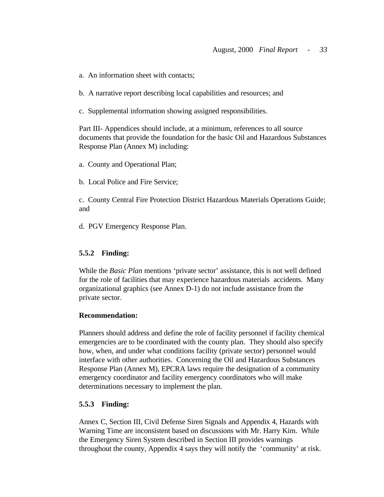- a. An information sheet with contacts;
- b. A narrative report describing local capabilities and resources; and
- c. Supplemental information showing assigned responsibilities.

Part III- Appendices should include, at a minimum, references to all source documents that provide the foundation for the basic Oil and Hazardous Substances Response Plan (Annex M) including:

a. County and Operational Plan;

b. Local Police and Fire Service;

c. County Central Fire Protection District Hazardous Materials Operations Guide; and

d. PGV Emergency Response Plan.

#### **5.5.2 Finding:**

While the *Basic Plan* mentions 'private sector' assistance, this is not well defined for the role of facilities that may experience hazardous materials accidents. Many organizational graphics (see Annex D-1) do not include assistance from the private sector.

#### **Recommendation:**

Planners should address and define the role of facility personnel if facility chemical emergencies are to be coordinated with the county plan. They should also specify how, when, and under what conditions facility (private sector) personnel would interface with other authorities. Concerning the Oil and Hazardous Substances Response Plan (Annex M), EPCRA laws require the designation of a community emergency coordinator and facility emergency coordinators who will make determinations necessary to implement the plan.

#### **5.5.3 Finding:**

Annex C, Section III, Civil Defense Siren Signals and Appendix 4, Hazards with Warning Time are inconsistent based on discussions with Mr. Harry Kim. While the Emergency Siren System described in Section III provides warnings throughout the county, Appendix 4 says they will notify the 'community' at risk.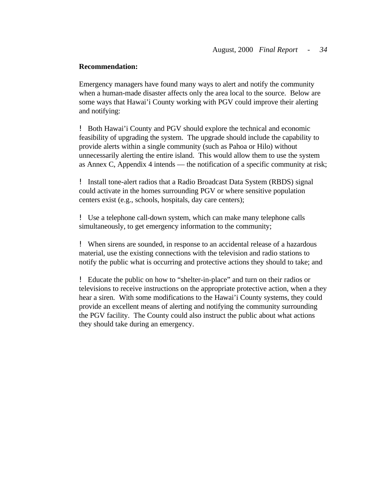Emergency managers have found many ways to alert and notify the community when a human-made disaster affects only the area local to the source. Below are some ways that Hawai'i County working with PGV could improve their alerting and notifying:

! Both Hawai'i County and PGV should explore the technical and economic feasibility of upgrading the system. The upgrade should include the capability to provide alerts within a single community (such as Pahoa or Hilo) without unnecessarily alerting the entire island. This would allow them to use the system as Annex C, Appendix 4 intends — the notification of a specific community at risk;

! Install tone-alert radios that a Radio Broadcast Data System (RBDS) signal could activate in the homes surrounding PGV or where sensitive population centers exist (e.g., schools, hospitals, day care centers);

! Use a telephone call-down system, which can make many telephone calls simultaneously, to get emergency information to the community;

! When sirens are sounded, in response to an accidental release of a hazardous material, use the existing connections with the television and radio stations to notify the public what is occurring and protective actions they should to take; and

! Educate the public on how to "shelter-in-place" and turn on their radios or televisions to receive instructions on the appropriate protective action, when a they hear a siren. With some modifications to the Hawai'i County systems, they could provide an excellent means of alerting and notifying the community surrounding the PGV facility. The County could also instruct the public about what actions they should take during an emergency.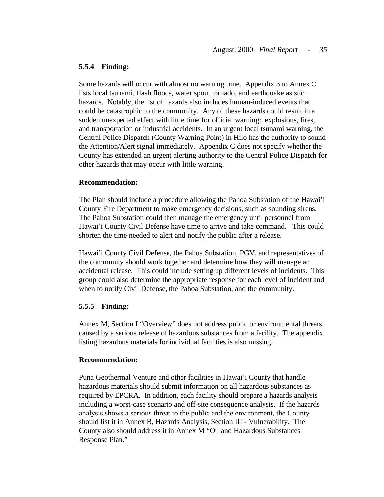#### **5.5.4 Finding:**

Some hazards will occur with almost no warning time. Appendix 3 to Annex C lists local tsunami, flash floods, water spout tornado, and earthquake as such hazards. Notably, the list of hazards also includes human-induced events that could be catastrophic to the community. Any of these hazards could result in a sudden unexpected effect with little time for official warning: explosions, fires, and transportation or industrial accidents. In an urgent local tsunami warning, the Central Police Dispatch (County Warning Point) in Hilo has the authority to sound the Attention/Alert signal immediately. Appendix C does not specify whether the County has extended an urgent alerting authority to the Central Police Dispatch for other hazards that may occur with little warning.

#### **Recommendation:**

The Plan should include a procedure allowing the Pahoa Substation of the Hawai'i County Fire Department to make emergency decisions, such as sounding sirens. The Pahoa Substation could then manage the emergency until personnel from Hawai'i County Civil Defense have time to arrive and take command. This could shorten the time needed to alert and notify the public after a release.

Hawai'i County Civil Defense, the Pahoa Substation, PGV, and representatives of the community should work together and determine how they will manage an accidental release. This could include setting up different levels of incidents. This group could also determine the appropriate response for each level of incident and when to notify Civil Defense, the Pahoa Substation, and the community.

#### **5.5.5 Finding:**

Annex M, Section I "Overview" does not address public or environmental threats caused by a serious release of hazardous substances from a facility. The appendix listing hazardous materials for individual facilities is also missing.

#### **Recommendation:**

Puna Geothermal Venture and other facilities in Hawai'i County that handle hazardous materials should submit information on all hazardous substances as required by EPCRA. In addition, each facility should prepare a hazards analysis including a worst-case scenario and off-site consequence analysis. If the hazards analysis shows a serious threat to the public and the environment, the County should list it in Annex B, Hazards Analysis, Section III - Vulnerability. The County also should address it in Annex M "Oil and Hazardous Substances Response Plan."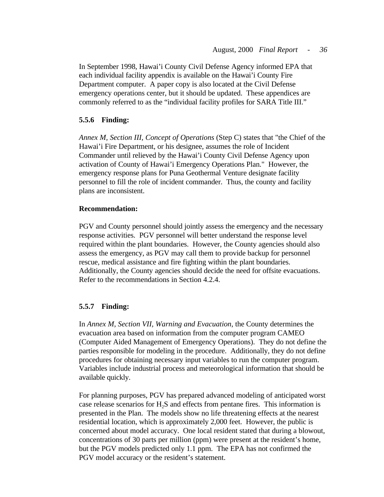In September 1998, Hawai'i County Civil Defense Agency informed EPA that each individual facility appendix is available on the Hawai'i County Fire Department computer. A paper copy is also located at the Civil Defense emergency operations center, but it should be updated. These appendices are commonly referred to as the "individual facility profiles for SARA Title III."

#### **5.5.6 Finding:**

*Annex M, Section III, Concept of Operations* (Step C) states that "the Chief of the Hawai'i Fire Department, or his designee, assumes the role of Incident Commander until relieved by the Hawai'i County Civil Defense Agency upon activation of County of Hawai'i Emergency Operations Plan." However, the emergency response plans for Puna Geothermal Venture designate facility personnel to fill the role of incident commander. Thus, the county and facility plans are inconsistent.

#### **Recommendation:**

PGV and County personnel should jointly assess the emergency and the necessary response activities. PGV personnel will better understand the response level required within the plant boundaries. However, the County agencies should also assess the emergency, as PGV may call them to provide backup for personnel rescue, medical assistance and fire fighting within the plant boundaries. Additionally, the County agencies should decide the need for offsite evacuations. Refer to the recommendations in Section 4.2.4.

#### **5.5.7 Finding:**

In *Annex M, Section VII, Warning and Evacuation*, the County determines the evacuation area based on information from the computer program CAMEO (Computer Aided Management of Emergency Operations). They do not define the parties responsible for modeling in the procedure. Additionally, they do not define procedures for obtaining necessary input variables to run the computer program. Variables include industrial process and meteorological information that should be available quickly.

For planning purposes, PGV has prepared advanced modeling of anticipated worst case release scenarios for H<sub>2</sub>S and effects from pentane fires. This information is presented in the Plan. The models show no life threatening effects at the nearest residential location, which is approximately 2,000 feet. However, the public is concerned about model accuracy. One local resident stated that during a blowout, concentrations of 30 parts per million (ppm) were present at the resident's home, but the PGV models predicted only 1.1 ppm. The EPA has not confirmed the PGV model accuracy or the resident's statement.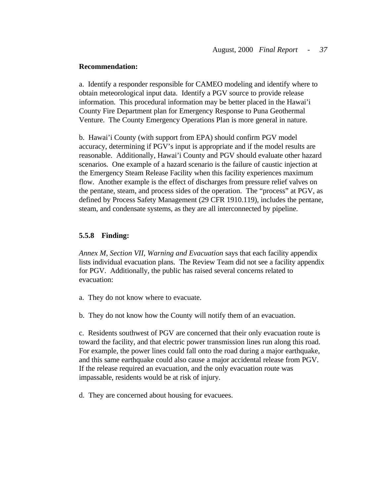a. Identify a responder responsible for CAMEO modeling and identify where to obtain meteorological input data. Identify a PGV source to provide release information. This procedural information may be better placed in the Hawai'i County Fire Department plan for Emergency Response to Puna Geothermal Venture. The County Emergency Operations Plan is more general in nature.

b. Hawai'i County (with support from EPA) should confirm PGV model accuracy, determining if PGV's input is appropriate and if the model results are reasonable. Additionally, Hawai'i County and PGV should evaluate other hazard scenarios. One example of a hazard scenario is the failure of caustic injection at the Emergency Steam Release Facility when this facility experiences maximum flow. Another example is the effect of discharges from pressure relief valves on the pentane, steam, and process sides of the operation. The "process" at PGV, as defined by Process Safety Management (29 CFR 1910.119), includes the pentane, steam, and condensate systems, as they are all interconnected by pipeline.

#### **5.5.8 Finding:**

*Annex M, Section VII, Warning and Evacuation* says that each facility appendix lists individual evacuation plans. The Review Team did not see a facility appendix for PGV. Additionally, the public has raised several concerns related to evacuation:

- a. They do not know where to evacuate.
- b. They do not know how the County will notify them of an evacuation.

c. Residents southwest of PGV are concerned that their only evacuation route is toward the facility, and that electric power transmission lines run along this road. For example, the power lines could fall onto the road during a major earthquake, and this same earthquake could also cause a major accidental release from PGV. If the release required an evacuation, and the only evacuation route was impassable, residents would be at risk of injury.

d. They are concerned about housing for evacuees.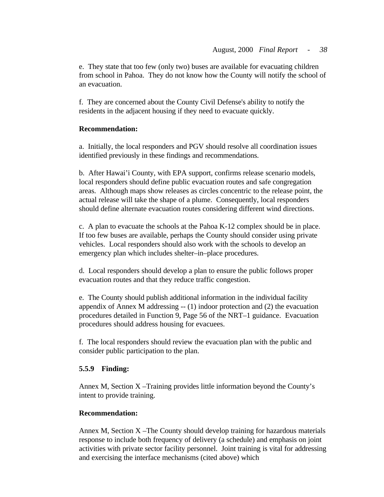e. They state that too few (only two) buses are available for evacuating children from school in Pahoa. They do not know how the County will notify the school of an evacuation.

f. They are concerned about the County Civil Defense's ability to notify the residents in the adjacent housing if they need to evacuate quickly.

### **Recommendation:**

a. Initially, the local responders and PGV should resolve all coordination issues identified previously in these findings and recommendations.

b. After Hawai'i County, with EPA support, confirms release scenario models, local responders should define public evacuation routes and safe congregation areas. Although maps show releases as circles concentric to the release point, the actual release will take the shape of a plume. Consequently, local responders should define alternate evacuation routes considering different wind directions.

c. A plan to evacuate the schools at the Pahoa K-12 complex should be in place. If too few buses are available, perhaps the County should consider using private vehicles. Local responders should also work with the schools to develop an emergency plan which includes shelter–in–place procedures.

d. Local responders should develop a plan to ensure the public follows proper evacuation routes and that they reduce traffic congestion.

e. The County should publish additional information in the individual facility appendix of Annex M addressing -- (1) indoor protection and (2) the evacuation procedures detailed in Function 9, Page 56 of the NRT–1 guidance. Evacuation procedures should address housing for evacuees.

f. The local responders should review the evacuation plan with the public and consider public participation to the plan.

# **5.5.9 Finding:**

Annex M, Section X –Training provides little information beyond the County's intent to provide training.

# **Recommendation:**

Annex M, Section X –The County should develop training for hazardous materials response to include both frequency of delivery (a schedule) and emphasis on joint activities with private sector facility personnel. Joint training is vital for addressing and exercising the interface mechanisms (cited above) which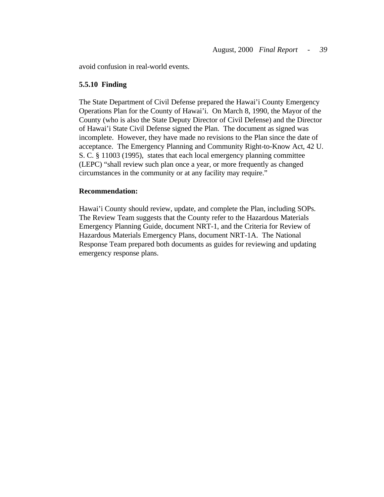avoid confusion in real-world events.

#### **5.5.10 Finding**

The State Department of Civil Defense prepared the Hawai'i County Emergency Operations Plan for the County of Hawai'i. On March 8, 1990, the Mayor of the County (who is also the State Deputy Director of Civil Defense) and the Director of Hawai'i State Civil Defense signed the Plan. The document as signed was incomplete. However, they have made no revisions to the Plan since the date of acceptance. The Emergency Planning and Community Right-to-Know Act, 42 U. S. C. § 11003 (1995), states that each local emergency planning committee (LEPC) "shall review such plan once a year, or more frequently as changed circumstances in the community or at any facility may require."

#### **Recommendation:**

Hawai'i County should review, update, and complete the Plan, including SOPs. The Review Team suggests that the County refer to the Hazardous Materials Emergency Planning Guide, document NRT-1, and the Criteria for Review of Hazardous Materials Emergency Plans, document NRT-1A. The National Response Team prepared both documents as guides for reviewing and updating emergency response plans.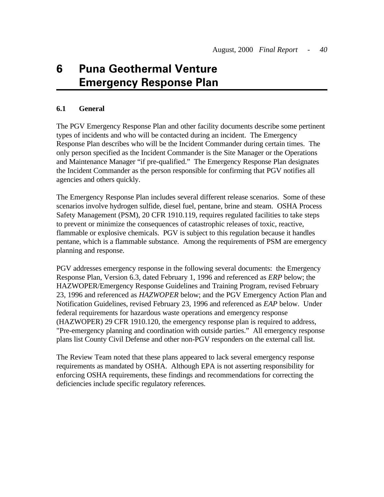# **6 Puna Geothermal Venture Emergency Response Plan**

### **6.1 General**

The PGV Emergency Response Plan and other facility documents describe some pertinent types of incidents and who will be contacted during an incident. The Emergency Response Plan describes who will be the Incident Commander during certain times. The only person specified as the Incident Commander is the Site Manager or the Operations and Maintenance Manager "if pre-qualified." The Emergency Response Plan designates the Incident Commander as the person responsible for confirming that PGV notifies all agencies and others quickly.

The Emergency Response Plan includes several different release scenarios. Some of these scenarios involve hydrogen sulfide, diesel fuel, pentane, brine and steam. OSHA Process Safety Management (PSM), 20 CFR 1910.119, requires regulated facilities to take steps to prevent or minimize the consequences of catastrophic releases of toxic, reactive, flammable or explosive chemicals. PGV is subject to this regulation because it handles pentane, which is a flammable substance. Among the requirements of PSM are emergency planning and response.

PGV addresses emergency response in the following several documents: the Emergency Response Plan, Version 6.3, dated February 1, 1996 and referenced as *ERP* below; the HAZWOPER/Emergency Response Guidelines and Training Program, revised February 23, 1996 and referenced as *HAZWOPER* below; and the PGV Emergency Action Plan and Notification Guidelines, revised February 23, 1996 and referenced as *EAP* below. Under federal requirements for hazardous waste operations and emergency response (HAZWOPER) 29 CFR 1910.120, the emergency response plan is required to address, "Pre-emergency planning and coordination with outside parties." All emergency response plans list County Civil Defense and other non-PGV responders on the external call list.

The Review Team noted that these plans appeared to lack several emergency response requirements as mandated by OSHA. Although EPA is not asserting responsibility for enforcing OSHA requirements, these findings and recommendations for correcting the deficiencies include specific regulatory references.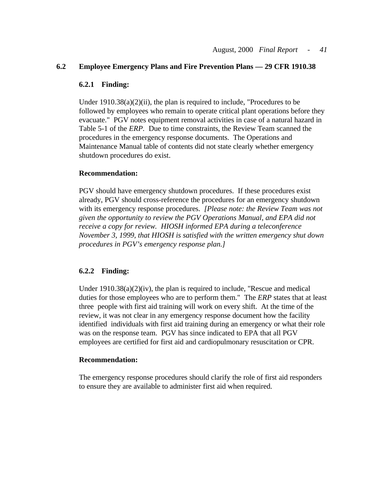#### **6.2 Employee Emergency Plans and Fire Prevention Plans — 29 CFR 1910.38**

#### **6.2.1 Finding:**

Under  $1910.38(a)(2)(ii)$ , the plan is required to include, "Procedures to be followed by employees who remain to operate critical plant operations before they evacuate." PGV notes equipment removal activities in case of a natural hazard in Table 5-1 of the *ERP.* Due to time constraints, the Review Team scanned the procedures in the emergency response documents. The Operations and Maintenance Manual table of contents did not state clearly whether emergency shutdown procedures do exist.

#### **Recommendation:**

PGV should have emergency shutdown procedures. If these procedures exist already, PGV should cross-reference the procedures for an emergency shutdown with its emergency response procedures. *[Please note: the Review Team was not given the opportunity to review the PGV Operations Manual, and EPA did not receive a copy for review. HIOSH informed EPA during a teleconference November 3, 1999, that HIOSH is satisfied with the written emergency shut down procedures in PGV's emergency response plan.]* 

#### **6.2.2 Finding:**

Under 1910.38(a)(2)(iv), the plan is required to include, "Rescue and medical duties for those employees who are to perform them." The *ERP* states that at least three people with first aid training will work on every shift. At the time of the review, it was not clear in any emergency response document how the facility identified individuals with first aid training during an emergency or what their role was on the response team. PGV has since indicated to EPA that all PGV employees are certified for first aid and cardiopulmonary resuscitation or CPR.

#### **Recommendation:**

The emergency response procedures should clarify the role of first aid responders to ensure they are available to administer first aid when required.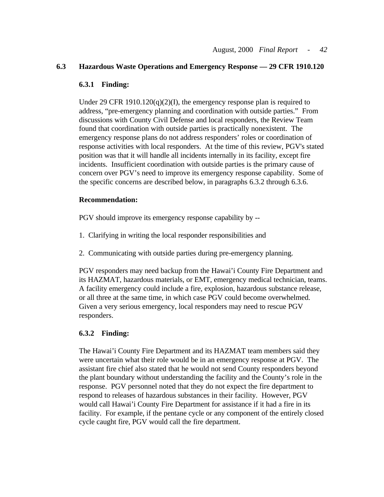#### **6.3 Hazardous Waste Operations and Emergency Response — 29 CFR 1910.120**

#### **6.3.1 Finding:**

Under 29 CFR  $1910.120(q)(2)(I)$ , the emergency response plan is required to address, "pre-emergency planning and coordination with outside parties." From discussions with County Civil Defense and local responders, the Review Team found that coordination with outside parties is practically nonexistent. The emergency response plans do not address responders' roles or coordination of response activities with local responders. At the time of this review, PGV's stated position was that it will handle all incidents internally in its facility, except fire incidents. Insufficient coordination with outside parties is the primary cause of concern over PGV's need to improve its emergency response capability. Some of the specific concerns are described below, in paragraphs 6.3.2 through 6.3.6.

### **Recommendation:**

PGV should improve its emergency response capability by -

- 1. Clarifying in writing the local responder responsibilities and
- 2. Communicating with outside parties during pre-emergency planning.

PGV responders may need backup from the Hawai'i County Fire Department and its HAZMAT, hazardous materials, or EMT, emergency medical technician, teams. A facility emergency could include a fire, explosion, hazardous substance release, or all three at the same time, in which case PGV could become overwhelmed. Given a very serious emergency, local responders may need to rescue PGV responders.

# **6.3.2 Finding:**

The Hawai'i County Fire Department and its HAZMAT team members said they were uncertain what their role would be in an emergency response at PGV. The assistant fire chief also stated that he would not send County responders beyond the plant boundary without understanding the facility and the County's role in the response. PGV personnel noted that they do not expect the fire department to respond to releases of hazardous substances in their facility. However, PGV would call Hawai'i County Fire Department for assistance if it had a fire in its facility. For example, if the pentane cycle or any component of the entirely closed cycle caught fire, PGV would call the fire department.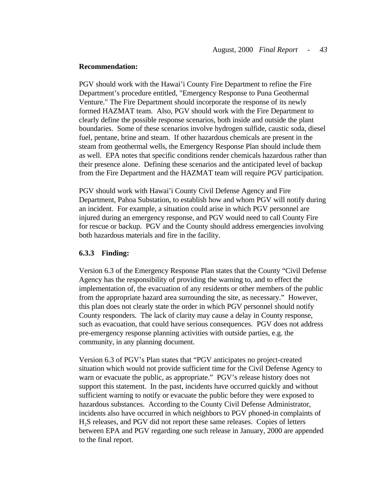PGV should work with the Hawai'i County Fire Department to refine the Fire Department's procedure entitled, "Emergency Response to Puna Geothermal Venture." The Fire Department should incorporate the response of its newly formed HAZMAT team. Also, PGV should work with the Fire Department to clearly define the possible response scenarios, both inside and outside the plant boundaries. Some of these scenarios involve hydrogen sulfide, caustic soda, diesel fuel, pentane, brine and steam. If other hazardous chemicals are present in the steam from geothermal wells, the Emergency Response Plan should include them as well. EPA notes that specific conditions render chemicals hazardous rather than their presence alone. Defining these scenarios and the anticipated level of backup from the Fire Department and the HAZMAT team will require PGV participation.

PGV should work with Hawai'i County Civil Defense Agency and Fire Department, Pahoa Substation, to establish how and whom PGV will notify during an incident. For example, a situation could arise in which PGV personnel are injured during an emergency response, and PGV would need to call County Fire for rescue or backup. PGV and the County should address emergencies involving both hazardous materials and fire in the facility.

#### **6.3.3 Finding:**

Version 6.3 of the Emergency Response Plan states that the County "Civil Defense Agency has the responsibility of providing the warning to, and to effect the implementation of, the evacuation of any residents or other members of the public from the appropriate hazard area surrounding the site, as necessary." However, this plan does not clearly state the order in which PGV personnel should notify County responders. The lack of clarity may cause a delay in County response, such as evacuation, that could have serious consequences. PGV does not address pre-emergency response planning activities with outside parties, e.g. the community, in any planning document.

Version 6.3 of PGV's Plan states that "PGV anticipates no project-created situation which would not provide sufficient time for the Civil Defense Agency to warn or evacuate the public, as appropriate." PGV's release history does not support this statement. In the past, incidents have occurred quickly and without sufficient warning to notify or evacuate the public before they were exposed to hazardous substances. According to the County Civil Defense Administrator, incidents also have occurred in which neighbors to PGV phoned-in complaints of H2S releases, and PGV did not report these same releases. Copies of letters between EPA and PGV regarding one such release in January, 2000 are appended to the final report.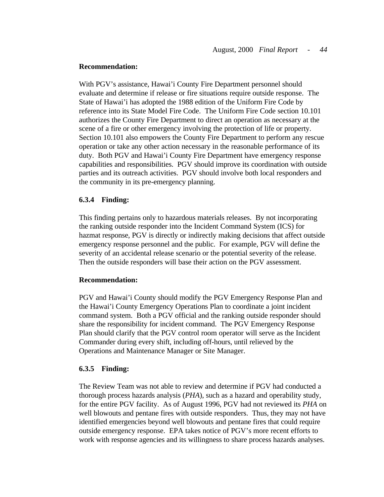With PGV's assistance, Hawai'i County Fire Department personnel should evaluate and determine if release or fire situations require outside response. The State of Hawai'i has adopted the 1988 edition of the Uniform Fire Code by reference into its State Model Fire Code. The Uniform Fire Code section 10.101 authorizes the County Fire Department to direct an operation as necessary at the scene of a fire or other emergency involving the protection of life or property. Section 10.101 also empowers the County Fire Department to perform any rescue operation or take any other action necessary in the reasonable performance of its duty. Both PGV and Hawai'i County Fire Department have emergency response capabilities and responsibilities. PGV should improve its coordination with outside parties and its outreach activities. PGV should involve both local responders and the community in its pre-emergency planning.

#### **6.3.4 Finding:**

This finding pertains only to hazardous materials releases. By not incorporating the ranking outside responder into the Incident Command System (ICS) for hazmat response, PGV is directly or indirectly making decisions that affect outside emergency response personnel and the public. For example, PGV will define the severity of an accidental release scenario or the potential severity of the release. Then the outside responders will base their action on the PGV assessment.

#### **Recommendation:**

PGV and Hawai'i County should modify the PGV Emergency Response Plan and the Hawai'i County Emergency Operations Plan to coordinate a joint incident command system. Both a PGV official and the ranking outside responder should share the responsibility for incident command. The PGV Emergency Response Plan should clarify that the PGV control room operator will serve as the Incident Commander during every shift, including off-hours, until relieved by the Operations and Maintenance Manager or Site Manager.

#### **6.3.5 Finding:**

The Review Team was not able to review and determine if PGV had conducted a thorough process hazards analysis (*PHA*), such as a hazard and operability study, for the entire PGV facility. As of August 1996, PGV had not reviewed its *PHA* on well blowouts and pentane fires with outside responders. Thus, they may not have identified emergencies beyond well blowouts and pentane fires that could require outside emergency response. EPA takes notice of PGV's more recent efforts to work with response agencies and its willingness to share process hazards analyses.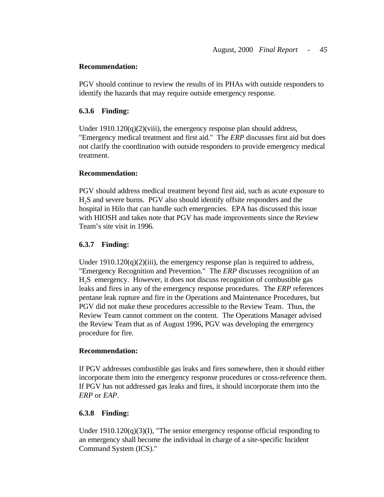PGV should continue to review the results of its PHAs with outside responders to identify the hazards that may require outside emergency response.

#### **6.3.6 Finding:**

Under  $1910.120(q)(2)(viii)$ , the emergency response plan should address, "Emergency medical treatment and first aid." The *ERP* discusses first aid but does not clarify the coordination with outside responders to provide emergency medical treatment.

#### **Recommendation:**

PGV should address medical treatment beyond first aid, such as acute exposure to H2S and severe burns. PGV also should identify offsite responders and the hospital in Hilo that can handle such emergencies. EPA has discussed this issue with HIOSH and takes note that PGV has made improvements since the Review Team's site visit in 1996.

#### **6.3.7 Finding:**

Under  $1910.120(q)(2)(iii)$ , the emergency response plan is required to address, "Emergency Recognition and Prevention." The *ERP* discusses recognition of an H<sub>2</sub>S emergency. However, it does not discuss recognition of combustible gas leaks and fires in any of the emergency response procedures. The *ERP* references pentane leak rupture and fire in the Operations and Maintenance Procedures, but PGV did not make these procedures accessible to the Review Team. Thus, the Review Team cannot comment on the content. The Operations Manager advised the Review Team that as of August 1996, PGV was developing the emergency procedure for fire.

#### **Recommendation:**

If PGV addresses combustible gas leaks and fires somewhere, then it should either incorporate them into the emergency response procedures or cross-reference them. If PGV has not addressed gas leaks and fires, it should incorporate them into the *ERP* or *EAP*.

#### **6.3.8 Finding:**

Under  $1910.120(q)(3)(I)$ , "The senior emergency response official responding to an emergency shall become the individual in charge of a site-specific Incident Command System (ICS)."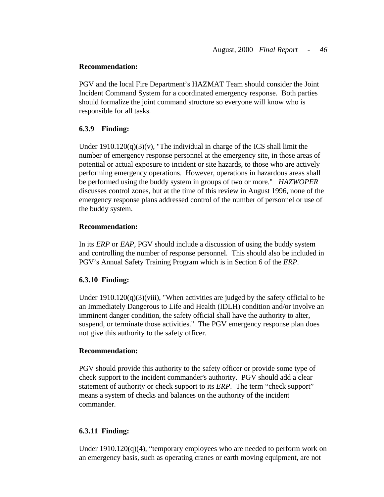PGV and the local Fire Department's HAZMAT Team should consider the Joint Incident Command System for a coordinated emergency response. Both parties should formalize the joint command structure so everyone will know who is responsible for all tasks.

#### **6.3.9 Finding:**

Under  $1910.120(q)(3)(v)$ , "The individual in charge of the ICS shall limit the number of emergency response personnel at the emergency site, in those areas of potential or actual exposure to incident or site hazards, to those who are actively performing emergency operations. However, operations in hazardous areas shall be performed using the buddy system in groups of two or more." *HAZWOPER*  discusses control zones, but at the time of this review in August 1996, none of the emergency response plans addressed control of the number of personnel or use of the buddy system.

### **Recommendation:**

In its *ERP* or *EAP*, PGV should include a discussion of using the buddy system and controlling the number of response personnel. This should also be included in PGV's Annual Safety Training Program which is in Section 6 of the *ERP*.

# **6.3.10 Finding:**

Under  $1910.120(q)(3)(viii)$ , "When activities are judged by the safety official to be an Immediately Dangerous to Life and Health (IDLH) condition and/or involve an imminent danger condition, the safety official shall have the authority to alter, suspend, or terminate those activities." The PGV emergency response plan does not give this authority to the safety officer.

#### **Recommendation:**

PGV should provide this authority to the safety officer or provide some type of check support to the incident commander's authority. PGV should add a clear statement of authority or check support to its *ERP*. The term "check support" means a system of checks and balances on the authority of the incident commander.

#### **6.3.11 Finding:**

Under  $1910.120(q)(4)$ , "temporary employees who are needed to perform work on an emergency basis, such as operating cranes or earth moving equipment, are not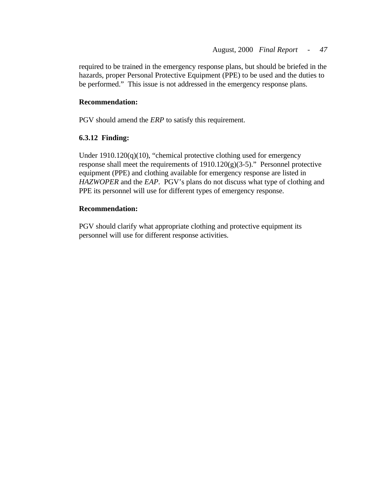required to be trained in the emergency response plans, but should be briefed in the hazards, proper Personal Protective Equipment (PPE) to be used and the duties to be performed." This issue is not addressed in the emergency response plans.

### **Recommendation:**

PGV should amend the *ERP* to satisfy this requirement.

# **6.3.12 Finding:**

Under 1910.120(q)(10), "chemical protective clothing used for emergency response shall meet the requirements of  $1910.120(g)(3-5)$ ." Personnel protective equipment (PPE) and clothing available for emergency response are listed in *HAZWOPER* and the *EAP*. PGV's plans do not discuss what type of clothing and PPE its personnel will use for different types of emergency response.

### **Recommendation:**

PGV should clarify what appropriate clothing and protective equipment its personnel will use for different response activities.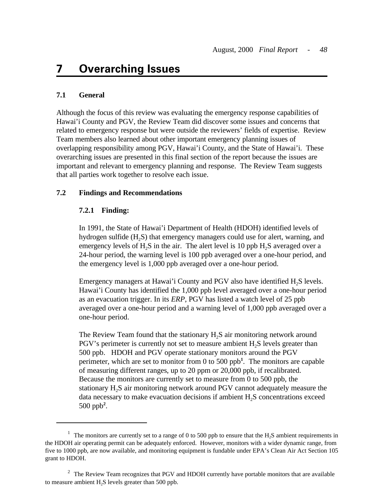# **7 Overarching Issues**

### **7.1 General**

Although the focus of this review was evaluating the emergency response capabilities of Hawai'i County and PGV, the Review Team did discover some issues and concerns that related to emergency response but were outside the reviewers' fields of expertise. Review Team members also learned about other important emergency planning issues of overlapping responsibility among PGV, Hawai'i County, and the State of Hawai'i. These overarching issues are presented in this final section of the report because the issues are important and relevant to emergency planning and response. The Review Team suggests that all parties work together to resolve each issue.

#### **7.2 Findings and Recommendations**

#### **7.2.1 Finding:**

In 1991, the State of Hawai'i Department of Health (HDOH) identified levels of hydrogen sulfide (H<sub>2</sub>S) that emergency managers could use for alert, warning, and emergency levels of  $H_2S$  in the air. The alert level is 10 ppb  $H_2S$  averaged over a 24-hour period, the warning level is 100 ppb averaged over a one-hour period, and the emergency level is 1,000 ppb averaged over a one-hour period.

Emergency managers at Hawai'i County and PGV also have identified H<sub>2</sub>S levels. Hawai'i County has identified the 1,000 ppb level averaged over a one-hour period as an evacuation trigger. In its *ERP*, PGV has listed a watch level of 25 ppb averaged over a one-hour period and a warning level of 1,000 ppb averaged over a one-hour period.

The Review Team found that the stationary  $H<sub>2</sub>S$  air monitoring network around  $PGV$ 's perimeter is currently not set to measure ambient  $H<sub>2</sub>S$  levels greater than 500 ppb. HDOH and PGV operate stationary monitors around the PGV perimeter, which are set to monitor from 0 to 500 ppb**<sup>1</sup>**. The monitors are capable of measuring different ranges, up to 20 ppm or 20,000 ppb, if recalibrated. Because the monitors are currently set to measure from 0 to 500 ppb, the stationary H<sub>2</sub>S air monitoring network around PGV cannot adequately measure the data necessary to make evacuation decisions if ambient  $H<sub>2</sub>S$  concentrations exceed 500 ppb**<sup>2</sup>** .

<sup>&</sup>lt;sup>1</sup> The monitors are currently set to a range of 0 to 500 ppb to ensure that the  $H_2S$  ambient requirements in the HDOH air operating permit can be adequately enforced. However, monitors with a wider dynamic range, from five to 1000 ppb, are now available, and monitoring equipment is fundable under EPA's Clean Air Act Section 105 grant to HDOH.

 $2\degree$  The Review Team recognizes that PGV and HDOH currently have portable monitors that are available to measure ambient  $H_2S$  levels greater than 500 ppb.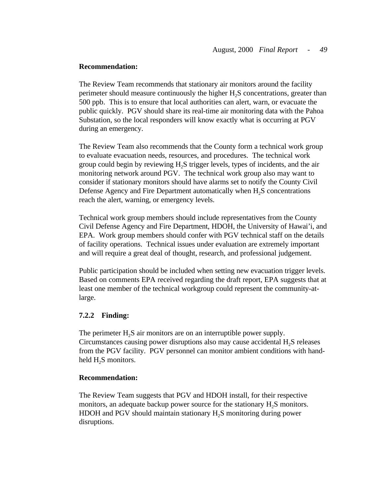The Review Team recommends that stationary air monitors around the facility perimeter should measure continuously the higher  $H<sub>2</sub>S$  concentrations, greater than 500 ppb. This is to ensure that local authorities can alert, warn, or evacuate the public quickly. PGV should share its real-time air monitoring data with the Pahoa Substation, so the local responders will know exactly what is occurring at PGV during an emergency.

The Review Team also recommends that the County form a technical work group to evaluate evacuation needs, resources, and procedures. The technical work group could begin by reviewing H2S trigger levels, types of incidents, and the air monitoring network around PGV. The technical work group also may want to consider if stationary monitors should have alarms set to notify the County Civil Defense Agency and Fire Department automatically when  $H_2S$  concentrations reach the alert, warning, or emergency levels.

Technical work group members should include representatives from the County Civil Defense Agency and Fire Department, HDOH, the University of Hawai'i, and EPA. Work group members should confer with PGV technical staff on the details of facility operations. Technical issues under evaluation are extremely important and will require a great deal of thought, research, and professional judgement.

Public participation should be included when setting new evacuation trigger levels. Based on comments EPA received regarding the draft report, EPA suggests that at least one member of the technical workgroup could represent the community-atlarge.

#### **7.2.2 Finding:**

The perimeter  $H_2S$  air monitors are on an interruptible power supply. Circumstances causing power disruptions also may cause accidental H2S releases from the PGV facility. PGV personnel can monitor ambient conditions with handheld  $H_2S$  monitors.

#### **Recommendation:**

The Review Team suggests that PGV and HDOH install, for their respective monitors, an adequate backup power source for the stationary H<sub>2</sub>S monitors. HDOH and PGV should maintain stationary H<sub>2</sub>S monitoring during power disruptions.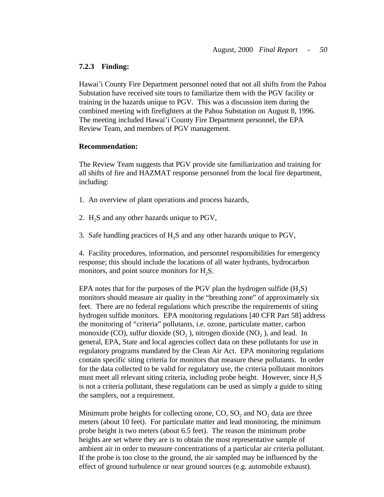#### **7.2.3 Finding:**

Hawai'i County Fire Department personnel noted that not all shifts from the Pahoa Substation have received site tours to familiarize them with the PGV facility or training in the hazards unique to PGV. This was a discussion item during the combined meeting with firefighters at the Pahoa Substation on August 8, 1996. The meeting included Hawai'i County Fire Department personnel, the EPA Review Team, and members of PGV management.

#### **Recommendation:**

The Review Team suggests that PGV provide site familiarization and training for all shifts of fire and HAZMAT response personnel from the local fire department, including:

- 1. An overview of plant operations and process hazards,
- 2. H<sub>2</sub>S and any other hazards unique to PGV,
- 3. Safe handling practices of  $H<sub>2</sub>S$  and any other hazards unique to PGV,

4. Facility procedures, information, and personnel responsibilities for emergency response; this should include the locations of all water hydrants, hydrocarbon monitors, and point source monitors for  $H_2S$ .

EPA notes that for the purposes of the PGV plan the hydrogen sulfide  $(H, S)$ monitors should measure air quality in the "breathing zone" of approximately six feet. There are no federal regulations which prescribe the requirements of siting hydrogen sulfide monitors. EPA monitoring regulations [40 CFR Part 58] address the monitoring of "criteria" pollutants, i.e. ozone, particulate matter, carbon monoxide (CO), sulfur dioxide (SO<sub>2</sub>), nitrogen dioxide (NO<sub>2</sub>), and lead. In general, EPA, State and local agencies collect data on these pollutants for use in regulatory programs mandated by the Clean Air Act. EPA monitoring regulations contain specific siting criteria for monitors that measure these pollutants. In order for the data collected to be valid for regulatory use, the criteria pollutant monitors must meet all relevant siting criteria, including probe height. However, since H<sub>2</sub>S is not a criteria pollutant, these regulations can be used as simply a guide to siting the samplers, not a requirement.

Minimum probe heights for collecting ozone,  $CO$ ,  $SO<sub>2</sub>$  and  $NO<sub>2</sub>$  data are three meters (about 10 feet). For particulate matter and lead monitoring, the minimum probe height is two meters (about 6.5 feet). The reason the minimum probe heights are set where they are is to obtain the most representative sample of ambient air in order to measure concentrations of a particular air criteria pollutant. If the probe is too close to the ground, the air sampled may be influenced by the effect of ground turbulence or near ground sources (e.g. automobile exhaust).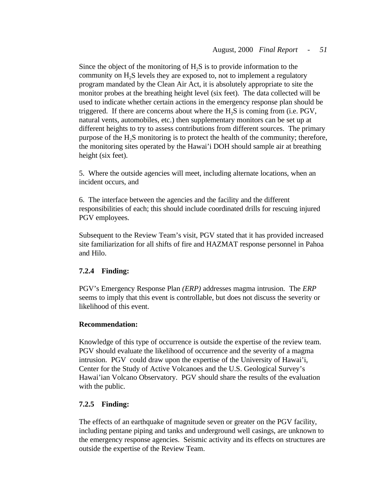Since the object of the monitoring of  $H<sub>2</sub>S$  is to provide information to the community on H<sub>2</sub>S levels they are exposed to, not to implement a regulatory program mandated by the Clean Air Act, it is absolutely appropriate to site the monitor probes at the breathing height level (six feet). The data collected will be used to indicate whether certain actions in the emergency response plan should be triggered. If there are concerns about where the  $H<sub>2</sub>S$  is coming from (i.e. PGV, natural vents, automobiles, etc.) then supplementary monitors can be set up at different heights to try to assess contributions from different sources. The primary purpose of the  $H<sub>2</sub>S$  monitoring is to protect the health of the community; therefore, the monitoring sites operated by the Hawai'i DOH should sample air at breathing height (six feet).

5. Where the outside agencies will meet, including alternate locations, when an incident occurs, and

6. The interface between the agencies and the facility and the different responsibilities of each; this should include coordinated drills for rescuing injured PGV employees.

Subsequent to the Review Team's visit, PGV stated that it has provided increased site familiarization for all shifts of fire and HAZMAT response personnel in Pahoa and Hilo.

# **7.2.4 Finding:**

PGV's Emergency Response Plan *(ERP)* addresses magma intrusion. The *ERP*  seems to imply that this event is controllable, but does not discuss the severity or likelihood of this event.

# **Recommendation:**

Knowledge of this type of occurrence is outside the expertise of the review team. PGV should evaluate the likelihood of occurrence and the severity of a magma intrusion. PGV could draw upon the expertise of the University of Hawai'i, Center for the Study of Active Volcanoes and the U.S. Geological Survey's Hawai'ian Volcano Observatory. PGV should share the results of the evaluation with the public.

# **7.2.5 Finding:**

The effects of an earthquake of magnitude seven or greater on the PGV facility, including pentane piping and tanks and underground well casings, are unknown to the emergency response agencies. Seismic activity and its effects on structures are outside the expertise of the Review Team.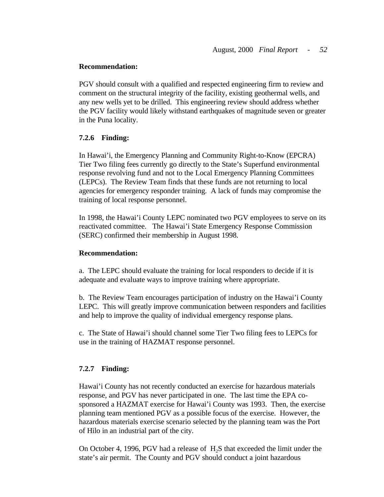PGV should consult with a qualified and respected engineering firm to review and comment on the structural integrity of the facility, existing geothermal wells, and any new wells yet to be drilled. This engineering review should address whether the PGV facility would likely withstand earthquakes of magnitude seven or greater in the Puna locality.

### **7.2.6 Finding:**

In Hawai'i, the Emergency Planning and Community Right-to-Know (EPCRA) Tier Two filing fees currently go directly to the State's Superfund environmental response revolving fund and not to the Local Emergency Planning Committees (LEPCs). The Review Team finds that these funds are not returning to local agencies for emergency responder training. A lack of funds may compromise the training of local response personnel.

In 1998, the Hawai'i County LEPC nominated two PGV employees to serve on its reactivated committee. The Hawai'i State Emergency Response Commission (SERC) confirmed their membership in August 1998.

#### **Recommendation:**

a. The LEPC should evaluate the training for local responders to decide if it is adequate and evaluate ways to improve training where appropriate.

b. The Review Team encourages participation of industry on the Hawai'i County LEPC. This will greatly improve communication between responders and facilities and help to improve the quality of individual emergency response plans.

c. The State of Hawai'i should channel some Tier Two filing fees to LEPCs for use in the training of HAZMAT response personnel.

# **7.2.7 Finding:**

Hawai'i County has not recently conducted an exercise for hazardous materials response, and PGV has never participated in one. The last time the EPA cosponsored a HAZMAT exercise for Hawai'i County was 1993. Then, the exercise planning team mentioned PGV as a possible focus of the exercise. However, the hazardous materials exercise scenario selected by the planning team was the Port of Hilo in an industrial part of the city.

On October 4, 1996, PGV had a release of H<sub>2</sub>S that exceeded the limit under the state's air permit. The County and PGV should conduct a joint hazardous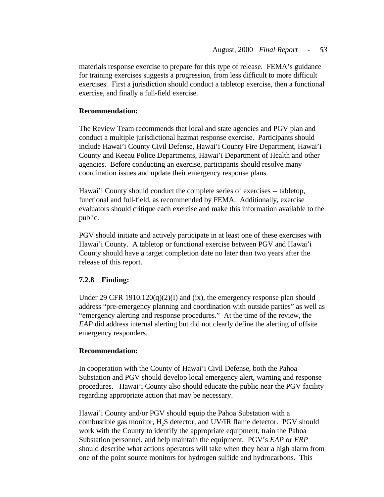materials response exercise to prepare for this type of release. FEMA's guidance for training exercises suggests a progression, from less difficult to more difficult exercises. First a jurisdiction should conduct a tabletop exercise, then a functional exercise, and finally a full-field exercise.

# **Recommendation:**

The Review Team recommends that local and state agencies and PGV plan and conduct a multiple jurisdictional hazmat response exercise. Participants should include Hawai'i County Civil Defense, Hawai'i County Fire Department, Hawai'i County and Keeau Police Departments, Hawai'i Department of Health and other agencies. Before conducting an exercise, participants should resolve many coordination issues and update their emergency response plans.

Hawai'i County should conduct the complete series of exercises -- tabletop, functional and full-field, as recommended by FEMA. Additionally, exercise evaluators should critique each exercise and make this information available to the public.

PGV should initiate and actively participate in at least one of these exercises with Hawai'i County. A tabletop or functional exercise between PGV and Hawai'i County should have a target completion date no later than two years after the release of this report.

# **7.2.8 Finding:**

Under 29 CFR 1910.120(q)(2)(I) and (ix), the emergency response plan should address "pre-emergency planning and coordination with outside parties" as well as "emergency alerting and response procedures." At the time of the review, the *EAP* did address internal alerting but did not clearly define the alerting of offsite emergency responders.

# **Recommendation:**

In cooperation with the County of Hawai'i Civil Defense, both the Pahoa Substation and PGV should develop local emergency alert, warning and response procedures. Hawai'i County also should educate the public near the PGV facility regarding appropriate action that may be necessary.

Hawai'i County and/or PGV should equip the Pahoa Substation with a combustible gas monitor,  $H<sub>2</sub>S$  detector, and UV/IR flame detector. PGV should work with the County to identify the appropriate equipment, train the Pahoa Substation personnel, and help maintain the equipment. PGV's *EAP* or *ERP*  should describe what actions operators will take when they hear a high alarm from one of the point source monitors for hydrogen sulfide and hydrocarbons. This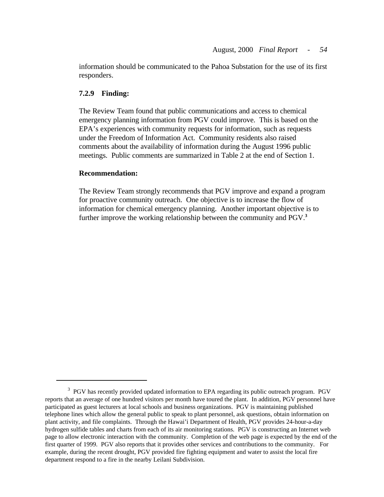information should be communicated to the Pahoa Substation for the use of its first responders.

#### **7.2.9 Finding:**

The Review Team found that public communications and access to chemical emergency planning information from PGV could improve. This is based on the EPA's experiences with community requests for information, such as requests under the Freedom of Information Act. Community residents also raised comments about the availability of information during the August 1996 public meetings. Public comments are summarized in Table 2 at the end of Section 1.

#### **Recommendation:**

 further improve the working relationship between the community and PGV.**<sup>3</sup>** The Review Team strongly recommends that PGV improve and expand a program for proactive community outreach. One objective is to increase the flow of information for chemical emergency planning. Another important objective is to

<sup>&</sup>lt;sup>3</sup> PGV has recently provided updated information to EPA regarding its public outreach program. PGV reports that an average of one hundred visitors per month have toured the plant. In addition, PGV personnel have participated as guest lecturers at local schools and business organizations. PGV is maintaining published telephone lines which allow the general public to speak to plant personnel, ask questions, obtain information on plant activity, and file complaints. Through the Hawai'i Department of Health, PGV provides 24-hour-a-day hydrogen sulfide tables and charts from each of its air monitoring stations. PGV is constructing an Internet web page to allow electronic interaction with the community. Completion of the web page is expected by the end of the first quarter of 1999. PGV also reports that it provides other services and contributions to the community. For example, during the recent drought, PGV provided fire fighting equipment and water to assist the local fire department respond to a fire in the nearby Leilani Subdivision.